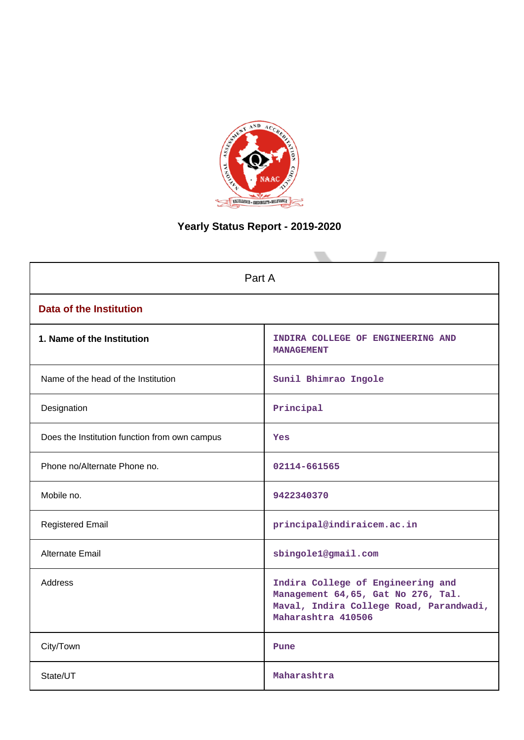

# **Yearly Status Report - 2019-2020**

| Part A                                        |                                                                                                                                          |  |  |  |  |
|-----------------------------------------------|------------------------------------------------------------------------------------------------------------------------------------------|--|--|--|--|
| <b>Data of the Institution</b>                |                                                                                                                                          |  |  |  |  |
| 1. Name of the Institution                    | INDIRA COLLEGE OF ENGINEERING AND<br><b>MANAGEMENT</b>                                                                                   |  |  |  |  |
| Name of the head of the Institution           | Sunil Bhimrao Ingole                                                                                                                     |  |  |  |  |
| Designation                                   | Principal                                                                                                                                |  |  |  |  |
| Does the Institution function from own campus | Yes                                                                                                                                      |  |  |  |  |
| Phone no/Alternate Phone no.                  | 02114-661565                                                                                                                             |  |  |  |  |
| Mobile no.                                    | 9422340370                                                                                                                               |  |  |  |  |
| <b>Registered Email</b>                       | principal@indiraicem.ac.in                                                                                                               |  |  |  |  |
| Alternate Email                               | sbingole1@gmail.com                                                                                                                      |  |  |  |  |
| <b>Address</b>                                | Indira College of Engineering and<br>Management 64,65, Gat No 276, Tal.<br>Maval, Indira College Road, Parandwadi,<br>Maharashtra 410506 |  |  |  |  |
| City/Town                                     | Pune                                                                                                                                     |  |  |  |  |
| State/UT                                      | Maharashtra                                                                                                                              |  |  |  |  |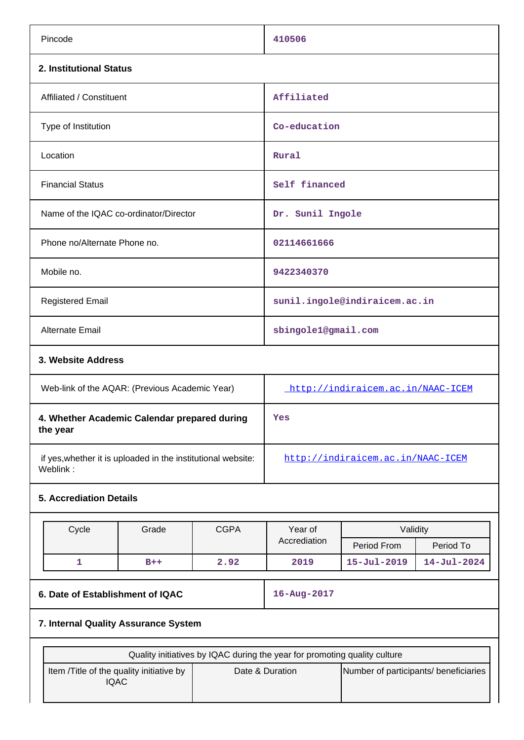| Pincode                                                                  |             | 410506                                                                    |                                       |                   |  |  |
|--------------------------------------------------------------------------|-------------|---------------------------------------------------------------------------|---------------------------------------|-------------------|--|--|
| 2. Institutional Status                                                  |             |                                                                           |                                       |                   |  |  |
| Affiliated / Constituent                                                 |             | Affiliated                                                                |                                       |                   |  |  |
| Type of Institution                                                      |             | Co-education                                                              |                                       |                   |  |  |
| Location                                                                 |             | Rural                                                                     |                                       |                   |  |  |
| <b>Financial Status</b>                                                  |             | Self financed                                                             |                                       |                   |  |  |
| Name of the IQAC co-ordinator/Director                                   |             | Dr. Sunil Ingole                                                          |                                       |                   |  |  |
| Phone no/Alternate Phone no.                                             |             | 02114661666                                                               |                                       |                   |  |  |
| Mobile no.                                                               |             | 9422340370                                                                |                                       |                   |  |  |
| <b>Registered Email</b>                                                  |             |                                                                           | sunil.ingole@indiraicem.ac.in         |                   |  |  |
| Alternate Email                                                          |             | sbingole1@gmail.com                                                       |                                       |                   |  |  |
| 3. Website Address                                                       |             |                                                                           |                                       |                   |  |  |
| Web-link of the AQAR: (Previous Academic Year)                           |             | http://indiraicem.ac.in/NAAC-ICEM                                         |                                       |                   |  |  |
| 4. Whether Academic Calendar prepared during<br>the year                 |             | Yes                                                                       |                                       |                   |  |  |
| if yes, whether it is uploaded in the institutional website:<br>Weblink: |             | http://indiraicem.ac.in/NAAC-ICEM                                         |                                       |                   |  |  |
| <b>5. Accrediation Details</b>                                           |             |                                                                           |                                       |                   |  |  |
|                                                                          |             |                                                                           |                                       |                   |  |  |
| Cycle<br>Grade                                                           | <b>CGPA</b> | Year of<br>Accrediation                                                   | Validity                              |                   |  |  |
|                                                                          |             |                                                                           | Period From                           | Period To         |  |  |
| $\mathbf{1}$<br>$B++$                                                    | 2.92        | 2019                                                                      | $15 - Jul - 2019$                     | $14 - Jul - 2024$ |  |  |
| 6. Date of Establishment of IQAC                                         |             | 16-Aug-2017                                                               |                                       |                   |  |  |
| 7. Internal Quality Assurance System                                     |             |                                                                           |                                       |                   |  |  |
|                                                                          |             | Quality initiatives by IQAC during the year for promoting quality culture |                                       |                   |  |  |
| Item /Title of the quality initiative by<br><b>IQAC</b>                  |             | Date & Duration                                                           | Number of participants/ beneficiaries |                   |  |  |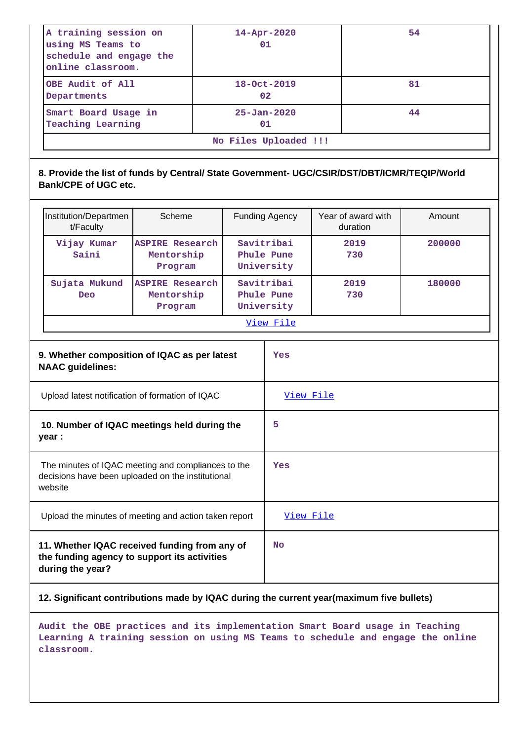| A training session on<br>using MS Teams to<br>schedule and engage the<br>online classroom. | $14 - Apr - 2020$<br>01 | 54 |  |  |  |
|--------------------------------------------------------------------------------------------|-------------------------|----|--|--|--|
| OBE Audit of All<br>Departments                                                            | $18 - Oct - 2019$<br>02 | 81 |  |  |  |
| Smart Board Usage in<br><b>Teaching Learning</b>                                           | $25 - Jan - 2020$<br>01 | 44 |  |  |  |
| No Files Uploaded !!!                                                                      |                         |    |  |  |  |

## **8. Provide the list of funds by Central/ State Government- UGC/CSIR/DST/DBT/ICMR/TEQIP/World Bank/CPE of UGC etc.**

| Institution/Departmen<br>t/Faculty | Scheme                                          | <b>Funding Agency</b>                  | Year of award with<br>duration | Amount |  |
|------------------------------------|-------------------------------------------------|----------------------------------------|--------------------------------|--------|--|
| Vijay Kumar<br>Saini               | <b>ASPIRE Research</b><br>Mentorship<br>Program | Savitribai<br>Phule Pune<br>University | 2019<br>730                    | 200000 |  |
| Sujata Mukund<br><b>Deo</b>        | <b>ASPIRE Research</b><br>Mentorship<br>Program | Savitribai<br>Phule Pune<br>University | 2019<br>730                    | 180000 |  |
| View File                          |                                                 |                                        |                                |        |  |

| 9. Whether composition of IQAC as per latest<br><b>NAAC</b> guidelines:                                            | Yes       |
|--------------------------------------------------------------------------------------------------------------------|-----------|
| Upload latest notification of formation of IQAC                                                                    | View File |
| 10. Number of IQAC meetings held during the<br>year :                                                              | 5         |
| The minutes of IQAC meeting and compliances to the<br>decisions have been uploaded on the institutional<br>website | Yes       |
| Upload the minutes of meeting and action taken report                                                              | View File |
| 11. Whether IQAC received funding from any of<br>the funding agency to support its activities<br>during the year?  | <b>No</b> |

## **12. Significant contributions made by IQAC during the current year(maximum five bullets)**

**Audit the OBE practices and its implementation Smart Board usage in Teaching Learning A training session on using MS Teams to schedule and engage the online classroom.**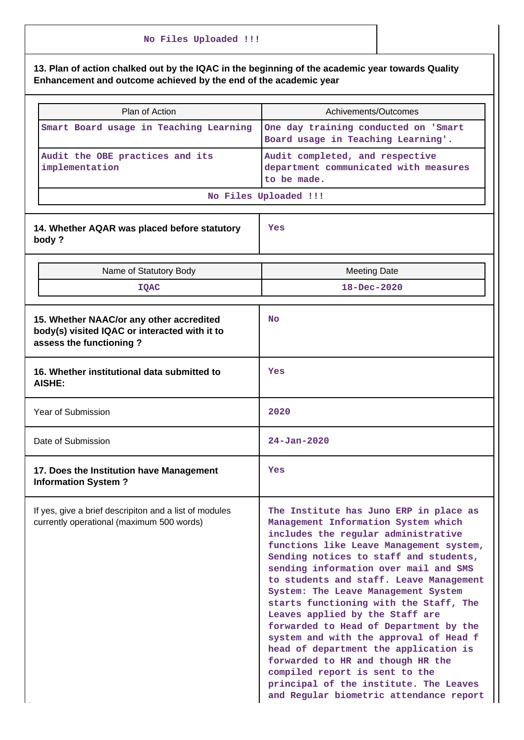# **No Files Uploaded !!! 13. Plan of action chalked out by the IQAC in the beginning of the academic year towards Quality Enhancement and outcome achieved by the end of the academic year** Plan of Action **Achivements/Outcomes Smart Board usage in Teaching Learning One day training conducted on 'Smart Board usage in Teaching Learning'. Audit the OBE practices and its implementation Audit completed, and respective department communicated with measures to be made. No Files Uploaded !!! 14. Whether AQAR was placed before statutory body ? Yes** Name of Statutory Body Name of Statutory Body **IQAC 18-Dec-2020 15. Whether NAAC/or any other accredited body(s) visited IQAC or interacted with it to assess the functioning ? No 16. Whether institutional data submitted to AISHE: Yes** Year of Submission **2020** Date of Submission **24-Jan-2020 17. Does the Institution have Management Information System ? Yes** If yes, give a brief descripiton and a list of modules currently operational (maximum 500 words) **The Institute has Juno ERP in place as Management Information System which includes the regular administrative functions like Leave Management system, Sending notices to staff and students, sending information over mail and SMS to students and staff. Leave Management System: The Leave Management System starts functioning with the Staff, The Leaves applied by the Staff are forwarded to Head of Department by the system and with the approval of Head f head of department the application is forwarded to HR and though HR the compiled report is sent to the principal of the institute. The Leaves**

**and Regular biometric attendance report**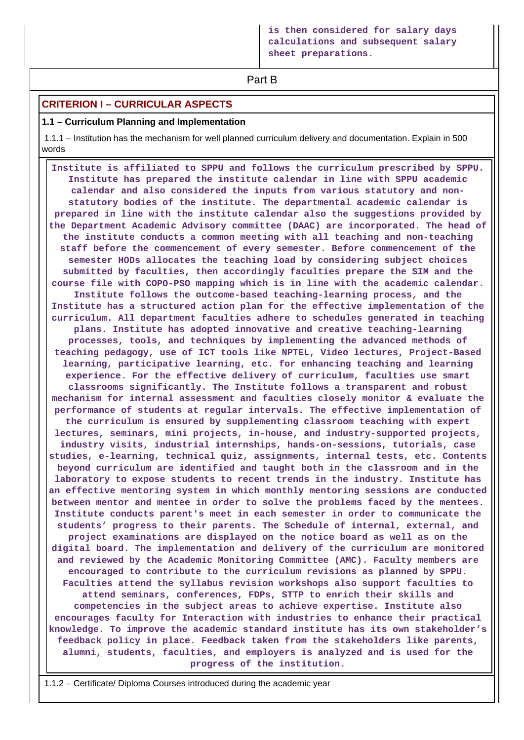**Part B** 

## **CRITERION I – CURRICULAR ASPECTS**

### **1.1 – Curriculum Planning and Implementation**

 1.1.1 – Institution has the mechanism for well planned curriculum delivery and documentation. Explain in 500 words

 **Institute is affiliated to SPPU and follows the curriculum prescribed by SPPU. Institute has prepared the institute calendar in line with SPPU academic calendar and also considered the inputs from various statutory and nonstatutory bodies of the institute. The departmental academic calendar is prepared in line with the institute calendar also the suggestions provided by the Department Academic Advisory committee (DAAC) are incorporated. The head of the institute conducts a common meeting with all teaching and non-teaching staff before the commencement of every semester. Before commencement of the semester HODs allocates the teaching load by considering subject choices submitted by faculties, then accordingly faculties prepare the SIM and the course file with COPO-PSO mapping which is in line with the academic calendar. Institute follows the outcome-based teaching-learning process, and the Institute has a structured action plan for the effective implementation of the curriculum. All department faculties adhere to schedules generated in teaching plans. Institute has adopted innovative and creative teaching-learning processes, tools, and techniques by implementing the advanced methods of teaching pedagogy, use of ICT tools like NPTEL, Video lectures, Project-Based learning, participative learning, etc. for enhancing teaching and learning experience. For the effective delivery of curriculum, faculties use smart classrooms significantly. The Institute follows a transparent and robust mechanism for internal assessment and faculties closely monitor & evaluate the performance of students at regular intervals. The effective implementation of the curriculum is ensured by supplementing classroom teaching with expert lectures, seminars, mini projects, in-house, and industry-supported projects, industry visits, industrial internships, hands-on-sessions, tutorials, case studies, e-learning, technical quiz, assignments, internal tests, etc. Contents beyond curriculum are identified and taught both in the classroom and in the laboratory to expose students to recent trends in the industry. Institute has an effective mentoring system in which monthly mentoring sessions are conducted between mentor and mentee in order to solve the problems faced by the mentees. Institute conducts parent's meet in each semester in order to communicate the students' progress to their parents. The Schedule of internal, external, and project examinations are displayed on the notice board as well as on the digital board. The implementation and delivery of the curriculum are monitored and reviewed by the Academic Monitoring Committee (AMC). Faculty members are encouraged to contribute to the curriculum revisions as planned by SPPU. Faculties attend the syllabus revision workshops also support faculties to attend seminars, conferences, FDPs, STTP to enrich their skills and competencies in the subject areas to achieve expertise. Institute also encourages faculty for Interaction with industries to enhance their practical knowledge. To improve the academic standard institute has its own stakeholder's feedback policy in place. Feedback taken from the stakeholders like parents, alumni, students, faculties, and employers is analyzed and is used for the progress of the institution.**

1.1.2 – Certificate/ Diploma Courses introduced during the academic year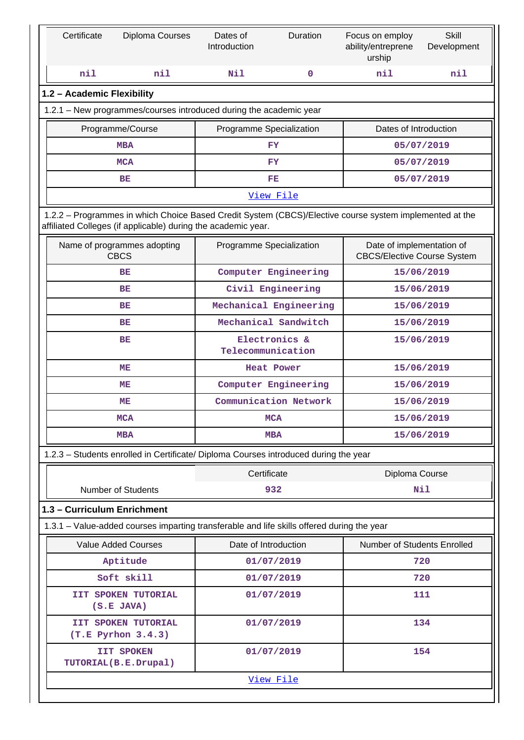| Certificate                                                        | Diploma Courses                                                                                                                                                          | Dates of<br>Introduction           | Duration                           | Focus on employ<br>ability/entreprene<br>urship                 | <b>Skill</b><br>Development |  |  |  |  |  |
|--------------------------------------------------------------------|--------------------------------------------------------------------------------------------------------------------------------------------------------------------------|------------------------------------|------------------------------------|-----------------------------------------------------------------|-----------------------------|--|--|--|--|--|
| nil                                                                | nil                                                                                                                                                                      | Nil                                | 0                                  | nil                                                             | nil                         |  |  |  |  |  |
|                                                                    | 1.2 - Academic Flexibility                                                                                                                                               |                                    |                                    |                                                                 |                             |  |  |  |  |  |
| 1.2.1 - New programmes/courses introduced during the academic year |                                                                                                                                                                          |                                    |                                    |                                                                 |                             |  |  |  |  |  |
|                                                                    | Programme/Course                                                                                                                                                         | Programme Specialization           |                                    | Dates of Introduction                                           |                             |  |  |  |  |  |
|                                                                    | <b>MBA</b>                                                                                                                                                               |                                    | FY                                 |                                                                 | 05/07/2019                  |  |  |  |  |  |
|                                                                    | <b>MCA</b>                                                                                                                                                               |                                    | <b>FY</b>                          |                                                                 | 05/07/2019                  |  |  |  |  |  |
|                                                                    | BE                                                                                                                                                                       |                                    | FE                                 |                                                                 | 05/07/2019                  |  |  |  |  |  |
|                                                                    |                                                                                                                                                                          |                                    | View File                          |                                                                 |                             |  |  |  |  |  |
|                                                                    | 1.2.2 - Programmes in which Choice Based Credit System (CBCS)/Elective course system implemented at the<br>affiliated Colleges (if applicable) during the academic year. |                                    |                                    |                                                                 |                             |  |  |  |  |  |
|                                                                    | Name of programmes adopting<br><b>CBCS</b>                                                                                                                               | Programme Specialization           |                                    | Date of implementation of<br><b>CBCS/Elective Course System</b> |                             |  |  |  |  |  |
|                                                                    | BE                                                                                                                                                                       |                                    | Computer Engineering               |                                                                 | 15/06/2019                  |  |  |  |  |  |
|                                                                    | BE                                                                                                                                                                       |                                    | Civil Engineering                  |                                                                 | 15/06/2019                  |  |  |  |  |  |
|                                                                    | BE                                                                                                                                                                       |                                    | Mechanical Engineering             |                                                                 | 15/06/2019                  |  |  |  |  |  |
|                                                                    | BE                                                                                                                                                                       |                                    | Mechanical Sandwitch               |                                                                 | 15/06/2019                  |  |  |  |  |  |
| BE                                                                 |                                                                                                                                                                          | Electronics &<br>Telecommunication |                                    | 15/06/2019                                                      |                             |  |  |  |  |  |
| MЕ                                                                 |                                                                                                                                                                          |                                    | <b>Heat Power</b>                  | 15/06/2019                                                      |                             |  |  |  |  |  |
| MЕ                                                                 |                                                                                                                                                                          |                                    | Computer Engineering<br>15/06/2019 |                                                                 |                             |  |  |  |  |  |
|                                                                    | Communication Network<br>MЕ                                                                                                                                              |                                    | 15/06/2019                         |                                                                 |                             |  |  |  |  |  |
| MCA                                                                |                                                                                                                                                                          |                                    | 15/06/2019<br><b>MCA</b>           |                                                                 |                             |  |  |  |  |  |
| <b>MBA</b><br><b>MBA</b>                                           |                                                                                                                                                                          |                                    |                                    | 15/06/2019                                                      |                             |  |  |  |  |  |
|                                                                    | 1.2.3 - Students enrolled in Certificate/ Diploma Courses introduced during the year                                                                                     |                                    |                                    |                                                                 |                             |  |  |  |  |  |
|                                                                    |                                                                                                                                                                          | Certificate                        |                                    | Diploma Course                                                  |                             |  |  |  |  |  |
|                                                                    | <b>Number of Students</b>                                                                                                                                                |                                    | 932                                |                                                                 | Nil                         |  |  |  |  |  |
| 1.3 - Curriculum Enrichment                                        |                                                                                                                                                                          |                                    |                                    |                                                                 |                             |  |  |  |  |  |
|                                                                    | 1.3.1 – Value-added courses imparting transferable and life skills offered during the year                                                                               |                                    |                                    |                                                                 |                             |  |  |  |  |  |
|                                                                    | <b>Value Added Courses</b>                                                                                                                                               | Date of Introduction               |                                    | Number of Students Enrolled                                     |                             |  |  |  |  |  |
|                                                                    | Aptitude                                                                                                                                                                 |                                    | 01/07/2019                         |                                                                 | 720                         |  |  |  |  |  |
|                                                                    | Soft skill                                                                                                                                                               |                                    | 01/07/2019                         |                                                                 | 720                         |  |  |  |  |  |
|                                                                    | IIT SPOKEN TUTORIAL<br>$(S.E$ JAVA)                                                                                                                                      |                                    | 01/07/2019                         |                                                                 | 111                         |  |  |  |  |  |
|                                                                    | IIT SPOKEN TUTORIAL<br>(T.E Pyrhon 3.4.3)                                                                                                                                |                                    | 01/07/2019                         |                                                                 | 134                         |  |  |  |  |  |
|                                                                    | <b>IIT SPOKEN</b><br>TUTORIAL (B.E.Drupal)                                                                                                                               |                                    | 01/07/2019                         |                                                                 | 154                         |  |  |  |  |  |
|                                                                    |                                                                                                                                                                          |                                    | View File                          |                                                                 |                             |  |  |  |  |  |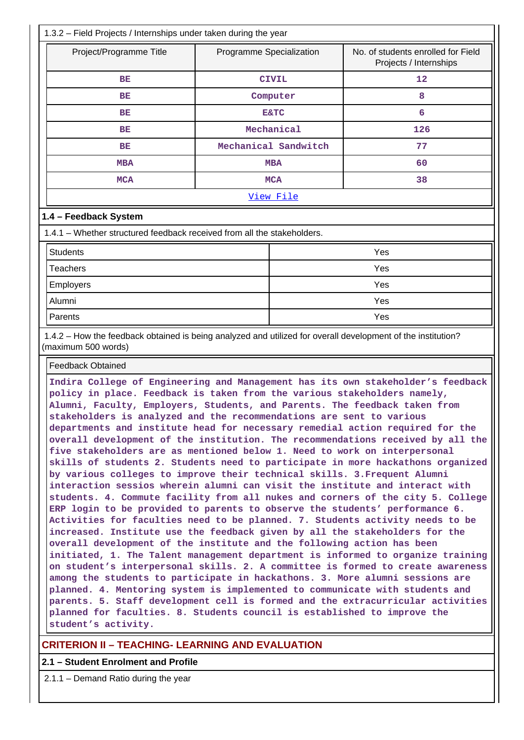| 1.3.2 - Field Projects / Internships under taken during the year                                                                                                                                                                                                                                                                                                                                                                                                                                                                                                                                                                                                                                                                                                                                                                                                                                                                                                                                                                                                                                                                                                                                                                                                                                                                                                                                                                                                                                                                                                                                                                                                                                                                                           |                                                                                          |                      |     |  |  |
|------------------------------------------------------------------------------------------------------------------------------------------------------------------------------------------------------------------------------------------------------------------------------------------------------------------------------------------------------------------------------------------------------------------------------------------------------------------------------------------------------------------------------------------------------------------------------------------------------------------------------------------------------------------------------------------------------------------------------------------------------------------------------------------------------------------------------------------------------------------------------------------------------------------------------------------------------------------------------------------------------------------------------------------------------------------------------------------------------------------------------------------------------------------------------------------------------------------------------------------------------------------------------------------------------------------------------------------------------------------------------------------------------------------------------------------------------------------------------------------------------------------------------------------------------------------------------------------------------------------------------------------------------------------------------------------------------------------------------------------------------------|------------------------------------------------------------------------------------------|----------------------|-----|--|--|
| Project/Programme Title                                                                                                                                                                                                                                                                                                                                                                                                                                                                                                                                                                                                                                                                                                                                                                                                                                                                                                                                                                                                                                                                                                                                                                                                                                                                                                                                                                                                                                                                                                                                                                                                                                                                                                                                    | No. of students enrolled for Field<br>Programme Specialization<br>Projects / Internships |                      |     |  |  |
| ВE                                                                                                                                                                                                                                                                                                                                                                                                                                                                                                                                                                                                                                                                                                                                                                                                                                                                                                                                                                                                                                                                                                                                                                                                                                                                                                                                                                                                                                                                                                                                                                                                                                                                                                                                                         | <b>CIVIL</b>                                                                             |                      | 12  |  |  |
| ВE                                                                                                                                                                                                                                                                                                                                                                                                                                                                                                                                                                                                                                                                                                                                                                                                                                                                                                                                                                                                                                                                                                                                                                                                                                                                                                                                                                                                                                                                                                                                                                                                                                                                                                                                                         |                                                                                          | Computer             | 8   |  |  |
| BЕ                                                                                                                                                                                                                                                                                                                                                                                                                                                                                                                                                                                                                                                                                                                                                                                                                                                                                                                                                                                                                                                                                                                                                                                                                                                                                                                                                                                                                                                                                                                                                                                                                                                                                                                                                         |                                                                                          | <b>E&amp;TC</b>      | 6   |  |  |
| BЕ                                                                                                                                                                                                                                                                                                                                                                                                                                                                                                                                                                                                                                                                                                                                                                                                                                                                                                                                                                                                                                                                                                                                                                                                                                                                                                                                                                                                                                                                                                                                                                                                                                                                                                                                                         |                                                                                          | Mechanical           | 126 |  |  |
| BЕ                                                                                                                                                                                                                                                                                                                                                                                                                                                                                                                                                                                                                                                                                                                                                                                                                                                                                                                                                                                                                                                                                                                                                                                                                                                                                                                                                                                                                                                                                                                                                                                                                                                                                                                                                         |                                                                                          | Mechanical Sandwitch | 77  |  |  |
| <b>MBA</b>                                                                                                                                                                                                                                                                                                                                                                                                                                                                                                                                                                                                                                                                                                                                                                                                                                                                                                                                                                                                                                                                                                                                                                                                                                                                                                                                                                                                                                                                                                                                                                                                                                                                                                                                                 |                                                                                          | <b>MBA</b>           | 60  |  |  |
| <b>MCA</b>                                                                                                                                                                                                                                                                                                                                                                                                                                                                                                                                                                                                                                                                                                                                                                                                                                                                                                                                                                                                                                                                                                                                                                                                                                                                                                                                                                                                                                                                                                                                                                                                                                                                                                                                                 |                                                                                          | <b>MCA</b>           | 38  |  |  |
|                                                                                                                                                                                                                                                                                                                                                                                                                                                                                                                                                                                                                                                                                                                                                                                                                                                                                                                                                                                                                                                                                                                                                                                                                                                                                                                                                                                                                                                                                                                                                                                                                                                                                                                                                            |                                                                                          | View File            |     |  |  |
|                                                                                                                                                                                                                                                                                                                                                                                                                                                                                                                                                                                                                                                                                                                                                                                                                                                                                                                                                                                                                                                                                                                                                                                                                                                                                                                                                                                                                                                                                                                                                                                                                                                                                                                                                            |                                                                                          |                      |     |  |  |
| 1.4 - Feedback System                                                                                                                                                                                                                                                                                                                                                                                                                                                                                                                                                                                                                                                                                                                                                                                                                                                                                                                                                                                                                                                                                                                                                                                                                                                                                                                                                                                                                                                                                                                                                                                                                                                                                                                                      |                                                                                          |                      |     |  |  |
| 1.4.1 – Whether structured feedback received from all the stakeholders.                                                                                                                                                                                                                                                                                                                                                                                                                                                                                                                                                                                                                                                                                                                                                                                                                                                                                                                                                                                                                                                                                                                                                                                                                                                                                                                                                                                                                                                                                                                                                                                                                                                                                    |                                                                                          |                      |     |  |  |
| <b>Students</b>                                                                                                                                                                                                                                                                                                                                                                                                                                                                                                                                                                                                                                                                                                                                                                                                                                                                                                                                                                                                                                                                                                                                                                                                                                                                                                                                                                                                                                                                                                                                                                                                                                                                                                                                            |                                                                                          |                      | Yes |  |  |
| <b>Teachers</b>                                                                                                                                                                                                                                                                                                                                                                                                                                                                                                                                                                                                                                                                                                                                                                                                                                                                                                                                                                                                                                                                                                                                                                                                                                                                                                                                                                                                                                                                                                                                                                                                                                                                                                                                            |                                                                                          |                      | Yes |  |  |
| Employers                                                                                                                                                                                                                                                                                                                                                                                                                                                                                                                                                                                                                                                                                                                                                                                                                                                                                                                                                                                                                                                                                                                                                                                                                                                                                                                                                                                                                                                                                                                                                                                                                                                                                                                                                  |                                                                                          |                      | Yes |  |  |
| Alumni                                                                                                                                                                                                                                                                                                                                                                                                                                                                                                                                                                                                                                                                                                                                                                                                                                                                                                                                                                                                                                                                                                                                                                                                                                                                                                                                                                                                                                                                                                                                                                                                                                                                                                                                                     |                                                                                          | Yes                  |     |  |  |
| Parents                                                                                                                                                                                                                                                                                                                                                                                                                                                                                                                                                                                                                                                                                                                                                                                                                                                                                                                                                                                                                                                                                                                                                                                                                                                                                                                                                                                                                                                                                                                                                                                                                                                                                                                                                    |                                                                                          |                      | Yes |  |  |
| 1.4.2 - How the feedback obtained is being analyzed and utilized for overall development of the institution?<br>(maximum 500 words)                                                                                                                                                                                                                                                                                                                                                                                                                                                                                                                                                                                                                                                                                                                                                                                                                                                                                                                                                                                                                                                                                                                                                                                                                                                                                                                                                                                                                                                                                                                                                                                                                        |                                                                                          |                      |     |  |  |
| <b>Feedback Obtained</b>                                                                                                                                                                                                                                                                                                                                                                                                                                                                                                                                                                                                                                                                                                                                                                                                                                                                                                                                                                                                                                                                                                                                                                                                                                                                                                                                                                                                                                                                                                                                                                                                                                                                                                                                   |                                                                                          |                      |     |  |  |
| Indira College of Engineering and Management has its own stakeholder's feedback<br>policy in place. Feedback is taken from the various stakeholders namely,<br>Alumni, Faculty, Employers, Students, and Parents. The feedback taken from<br>stakeholders is analyzed and the recommendations are sent to various<br>departments and institute head for necessary remedial action required for the<br>overall development of the institution. The recommendations received by all the<br>five stakeholders are as mentioned below 1. Need to work on interpersonal<br>skills of students 2. Students need to participate in more hackathons organized<br>by various colleges to improve their technical skills. 3. Frequent Alumni<br>interaction sessios wherein alumni can visit the institute and interact with<br>students. 4. Commute facility from all nukes and corners of the city 5. College<br>ERP login to be provided to parents to observe the students' performance 6.<br>Activities for faculties need to be planned. 7. Students activity needs to be<br>increased. Institute use the feedback given by all the stakeholders for the<br>overall development of the institute and the following action has been<br>initiated, 1. The Talent management department is informed to organize training<br>on student's interpersonal skills. 2. A committee is formed to create awareness<br>among the students to participate in hackathons. 3. More alumni sessions are<br>planned. 4. Mentoring system is implemented to communicate with students and<br>parents. 5. Staff development cell is formed and the extracurricular activities<br>planned for faculties. 8. Students council is established to improve the<br>student's activity. |                                                                                          |                      |     |  |  |

## **CRITERION II – TEACHING- LEARNING AND EVALUATION**

## **2.1 – Student Enrolment and Profile**

2.1.1 – Demand Ratio during the year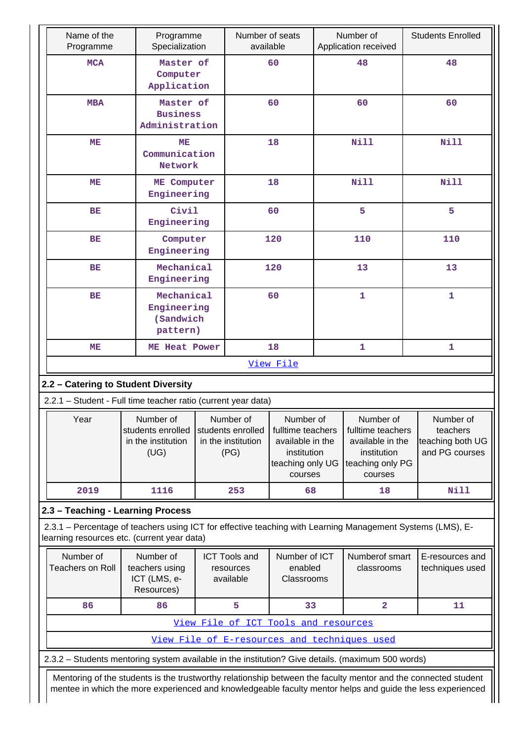| Name of the<br>Programme                                                                                                                                  | Programme<br>Specialization                                                                                                  |  | Number of seats<br>available                   |                                        |                                                                                                  | Number of<br>Application received                                                                | <b>Students Enrolled</b>                                    |
|-----------------------------------------------------------------------------------------------------------------------------------------------------------|------------------------------------------------------------------------------------------------------------------------------|--|------------------------------------------------|----------------------------------------|--------------------------------------------------------------------------------------------------|--------------------------------------------------------------------------------------------------|-------------------------------------------------------------|
| <b>MCA</b>                                                                                                                                                | Master of<br>Computer<br>Application                                                                                         |  |                                                | 60                                     |                                                                                                  | 48                                                                                               | 48                                                          |
| <b>MBA</b>                                                                                                                                                | Master of<br><b>Business</b><br>Administration                                                                               |  |                                                | 60                                     |                                                                                                  | 60                                                                                               | 60                                                          |
| ME                                                                                                                                                        | MЕ<br>Communication<br>Network                                                                                               |  |                                                | 18                                     |                                                                                                  | <b>Nill</b>                                                                                      | <b>Nill</b>                                                 |
| MЕ                                                                                                                                                        | ME Computer<br>Engineering                                                                                                   |  |                                                | 18                                     |                                                                                                  | <b>Nill</b>                                                                                      | <b>Nill</b>                                                 |
| <b>BE</b>                                                                                                                                                 | Civil<br>Engineering                                                                                                         |  |                                                | 60                                     |                                                                                                  | 5                                                                                                | 5                                                           |
| BE                                                                                                                                                        | Computer<br>Engineering                                                                                                      |  |                                                | 120                                    |                                                                                                  | 110                                                                                              | 110                                                         |
| ВE                                                                                                                                                        | Mechanical<br>Engineering                                                                                                    |  |                                                | 120                                    |                                                                                                  | 13                                                                                               | 13                                                          |
| <b>BE</b>                                                                                                                                                 | Mechanical<br>Engineering<br>(Sandwich<br>pattern)                                                                           |  |                                                | 60                                     |                                                                                                  | 1                                                                                                | $\mathbf{1}$                                                |
| MЕ                                                                                                                                                        | ME Heat Power                                                                                                                |  |                                                | 18                                     |                                                                                                  | 1                                                                                                | 1                                                           |
|                                                                                                                                                           |                                                                                                                              |  |                                                | View File                              |                                                                                                  |                                                                                                  |                                                             |
| 2.2 - Catering to Student Diversity                                                                                                                       |                                                                                                                              |  |                                                |                                        |                                                                                                  |                                                                                                  |                                                             |
| 2.2.1 - Student - Full time teacher ratio (current year data)                                                                                             |                                                                                                                              |  |                                                |                                        |                                                                                                  |                                                                                                  |                                                             |
| Year                                                                                                                                                      | Number of<br>Number of<br>students enrolled<br>students enrolled<br>in the institution<br>in the institution<br>(UG)<br>(PG) |  |                                                |                                        | Number of<br>fulltime teachers<br>available in the<br>institution<br>teaching only UG<br>courses | Number of<br>fulltime teachers<br>available in the<br>institution<br>teaching only PG<br>courses | Number of<br>teachers<br>teaching both UG<br>and PG courses |
| 2019                                                                                                                                                      | 1116                                                                                                                         |  | 253                                            | 68                                     |                                                                                                  | 18                                                                                               | <b>Nill</b>                                                 |
| 2.3 - Teaching - Learning Process                                                                                                                         |                                                                                                                              |  |                                                |                                        |                                                                                                  |                                                                                                  |                                                             |
| 2.3.1 - Percentage of teachers using ICT for effective teaching with Learning Management Systems (LMS), E-<br>learning resources etc. (current year data) |                                                                                                                              |  |                                                |                                        |                                                                                                  |                                                                                                  |                                                             |
| Number of<br><b>Teachers on Roll</b>                                                                                                                      | Number of<br>teachers using<br>ICT (LMS, e-<br>Resources)                                                                    |  | <b>ICT Tools and</b><br>resources<br>available | Number of ICT<br>enabled<br>Classrooms |                                                                                                  | Numberof smart<br>classrooms                                                                     | E-resources and<br>techniques used                          |
| 86                                                                                                                                                        | 86                                                                                                                           |  | 5                                              | 33                                     |                                                                                                  | $\overline{\mathbf{2}}$                                                                          | 11                                                          |
|                                                                                                                                                           |                                                                                                                              |  | View File of ICT Tools and resources           |                                        |                                                                                                  |                                                                                                  |                                                             |
|                                                                                                                                                           |                                                                                                                              |  |                                                |                                        |                                                                                                  | View File of E-resources and techniques used                                                     |                                                             |
| 2.3.2 - Students mentoring system available in the institution? Give details. (maximum 500 words)                                                         |                                                                                                                              |  |                                                |                                        |                                                                                                  |                                                                                                  |                                                             |
| Mentoring of the students is the trustworthy relationship between the faculty mentor and the connected student                                            |                                                                                                                              |  |                                                |                                        |                                                                                                  |                                                                                                  |                                                             |

mentee in which the more experienced and knowledgeable faculty mentor helps and guide the less experienced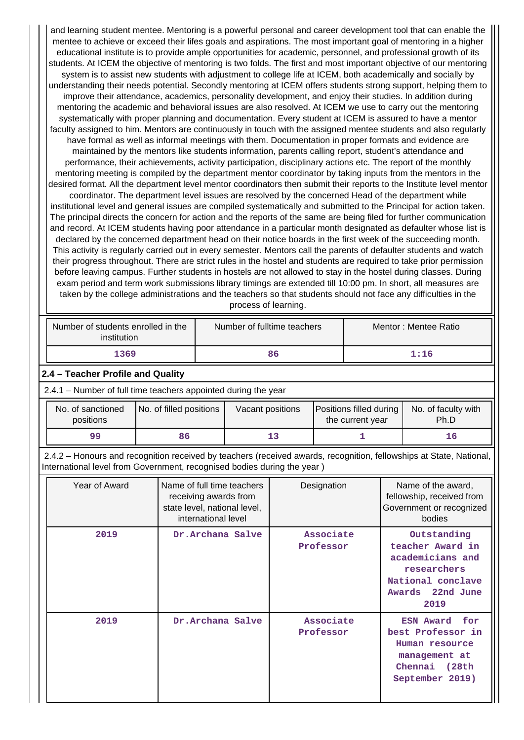and learning student mentee. Mentoring is a powerful personal and career development tool that can enable the mentee to achieve or exceed their lifes goals and aspirations. The most important goal of mentoring in a higher educational institute is to provide ample opportunities for academic, personnel, and professional growth of its students. At ICEM the objective of mentoring is two folds. The first and most important objective of our mentoring system is to assist new students with adjustment to college life at ICEM, both academically and socially by understanding their needs potential. Secondly mentoring at ICEM offers students strong support, helping them to improve their attendance, academics, personality development, and enjoy their studies. In addition during mentoring the academic and behavioral issues are also resolved. At ICEM we use to carry out the mentoring systematically with proper planning and documentation. Every student at ICEM is assured to have a mentor faculty assigned to him. Mentors are continuously in touch with the assigned mentee students and also regularly have formal as well as informal meetings with them. Documentation in proper formats and evidence are maintained by the mentors like students information, parents calling report, student's attendance and performance, their achievements, activity participation, disciplinary actions etc. The report of the monthly mentoring meeting is compiled by the department mentor coordinator by taking inputs from the mentors in the desired format. All the department level mentor coordinators then submit their reports to the Institute level mentor coordinator. The department level issues are resolved by the concerned Head of the department while institutional level and general issues are compiled systematically and submitted to the Principal for action taken. The principal directs the concern for action and the reports of the same are being filed for further communication and record. At ICEM students having poor attendance in a particular month designated as defaulter whose list is declared by the concerned department head on their notice boards in the first week of the succeeding month. This activity is regularly carried out in every semester. Mentors call the parents of defaulter students and watch their progress throughout. There are strict rules in the hostel and students are required to take prior permission before leaving campus. Further students in hostels are not allowed to stay in the hostel during classes. During exam period and term work submissions library timings are extended till 10:00 pm. In short, all measures are taken by the college administrations and the teachers so that students should not face any difficulties in the process of learning.

| Number of students enrolled in the<br>institution | Number of fulltime teachers | Mentor: Mentee Ratio |
|---------------------------------------------------|-----------------------------|----------------------|
| 1369                                              | 86                          | 1:16                 |

## **2.4 – Teacher Profile and Quality**

2.4.1 – Number of full time teachers appointed during the year

| No. of sanctioned<br>positions | No. of filled positions | Vacant positions | <b>Positions filled during</b><br>the current year | No. of faculty with<br>Ph.D |
|--------------------------------|-------------------------|------------------|----------------------------------------------------|-----------------------------|
| 99                             | 86                      |                  |                                                    | 16                          |

 2.4.2 – Honours and recognition received by teachers (received awards, recognition, fellowships at State, National, International level from Government, recognised bodies during the year )

| Year of Award | Name of full time teachers<br>receiving awards from<br>state level, national level,<br>international level | Designation            | Name of the award,<br>fellowship, received from<br>Government or recognized<br>bodies                                         |
|---------------|------------------------------------------------------------------------------------------------------------|------------------------|-------------------------------------------------------------------------------------------------------------------------------|
| 2019          | Dr.Archana Salve                                                                                           | Associate<br>Professor | Outstanding<br>teacher Award in<br>academicians and<br>researchers<br>National conclave<br>Awards 22nd June<br>2019           |
| 2019          | Dr. Archana Salve                                                                                          | Associate<br>Professor | for<br><b>ESN Award</b><br>best Professor in<br>Human resource<br>management at<br><b>(28th</b><br>Chennai<br>September 2019) |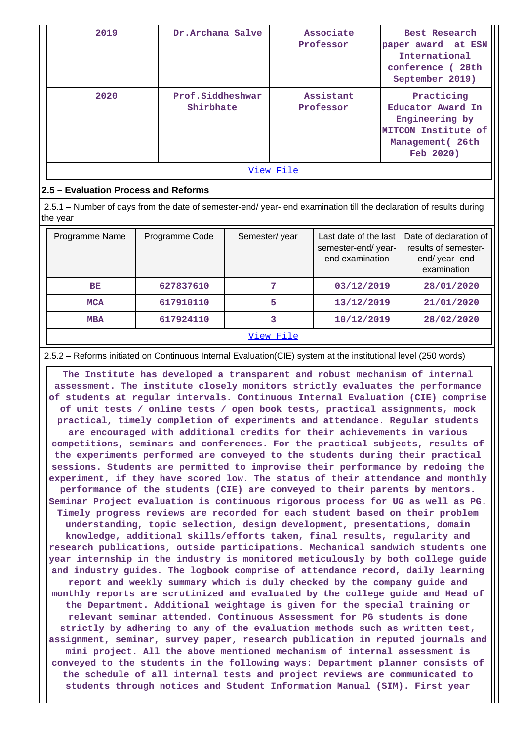| 2019      | Dr.Archana Salve              | Associate<br>Professor | Best Research<br>paper award at ESN<br>International<br>conference (28th<br>September 2019)               |  |  |  |
|-----------|-------------------------------|------------------------|-----------------------------------------------------------------------------------------------------------|--|--|--|
| 2020      | Prof.Siddheshwar<br>Shirbhate | Assistant<br>Professor | Practicing<br>Educator Award In<br>Engineering by<br>MITCON Institute of<br>Management (26th<br>Feb 2020) |  |  |  |
| View File |                               |                        |                                                                                                           |  |  |  |

## **2.5 – Evaluation Process and Reforms**

 2.5.1 – Number of days from the date of semester-end/ year- end examination till the declaration of results during the year

| Programme Name | Programme Code | Semester/year | Last date of the last<br>semester-end/year-<br>end examination | Date of declaration of<br>results of semester-<br>end/year-end<br>examination |
|----------------|----------------|---------------|----------------------------------------------------------------|-------------------------------------------------------------------------------|
| <b>BE</b>      | 627837610      | 7             | 03/12/2019                                                     | 28/01/2020                                                                    |
| <b>MCA</b>     | 617910110      | 5             | 13/12/2019                                                     | 21/01/2020                                                                    |
| <b>MBA</b>     | 617924110      |               | 10/12/2019                                                     | 28/02/2020                                                                    |
|                |                | View File     |                                                                |                                                                               |

2.5.2 – Reforms initiated on Continuous Internal Evaluation(CIE) system at the institutional level (250 words)

 **The Institute has developed a transparent and robust mechanism of internal assessment. The institute closely monitors strictly evaluates the performance of students at regular intervals. Continuous Internal Evaluation (CIE) comprise of unit tests / online tests / open book tests, practical assignments, mock practical, timely completion of experiments and attendance. Regular students are encouraged with additional credits for their achievements in various competitions, seminars and conferences. For the practical subjects, results of the experiments performed are conveyed to the students during their practical sessions. Students are permitted to improvise their performance by redoing the experiment, if they have scored low. The status of their attendance and monthly performance of the students (CIE) are conveyed to their parents by mentors. Seminar Project evaluation is continuous rigorous process for UG as well as PG. Timely progress reviews are recorded for each student based on their problem understanding, topic selection, design development, presentations, domain knowledge, additional skills/efforts taken, final results, regularity and research publications, outside participations. Mechanical sandwich students one year internship in the industry is monitored meticulously by both college guide and industry guides. The logbook comprise of attendance record, daily learning report and weekly summary which is duly checked by the company guide and monthly reports are scrutinized and evaluated by the college guide and Head of the Department. Additional weightage is given for the special training or relevant seminar attended. Continuous Assessment for PG students is done strictly by adhering to any of the evaluation methods such as written test, assignment, seminar, survey paper, research publication in reputed journals and mini project. All the above mentioned mechanism of internal assessment is conveyed to the students in the following ways: Department planner consists of the schedule of all internal tests and project reviews are communicated to students through notices and Student Information Manual (SIM). First year**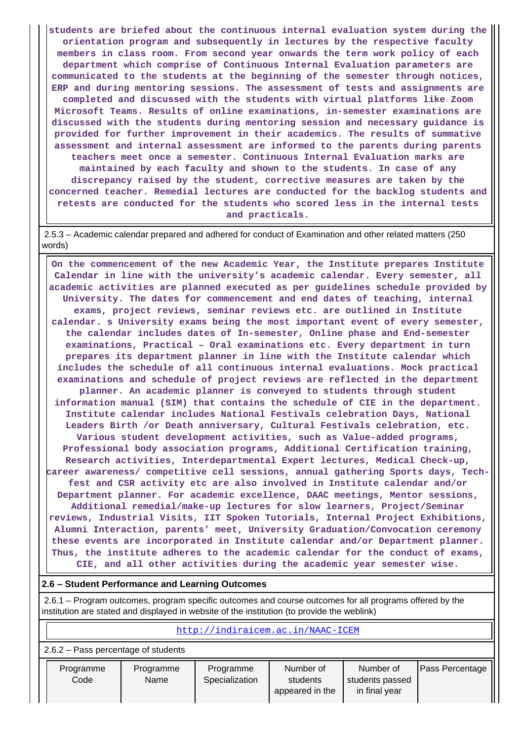**students are briefed about the continuous internal evaluation system during the orientation program and subsequently in lectures by the respective faculty members in class room. From second year onwards the term work policy of each department which comprise of Continuous Internal Evaluation parameters are communicated to the students at the beginning of the semester through notices, ERP and during mentoring sessions. The assessment of tests and assignments are completed and discussed with the students with virtual platforms like Zoom Microsoft Teams. Results of online examinations, in-semester examinations are discussed with the students during mentoring session and necessary guidance is provided for further improvement in their academics. The results of summative assessment and internal assessment are informed to the parents during parents teachers meet once a semester. Continuous Internal Evaluation marks are maintained by each faculty and shown to the students. In case of any discrepancy raised by the student, corrective measures are taken by the concerned teacher. Remedial lectures are conducted for the backlog students and retests are conducted for the students who scored less in the internal tests and practicals.**

 2.5.3 – Academic calendar prepared and adhered for conduct of Examination and other related matters (250 words)

 **On the commencement of the new Academic Year, the Institute prepares Institute Calendar in line with the university's academic calendar. Every semester, all academic activities are planned executed as per guidelines schedule provided by University. The dates for commencement and end dates of teaching, internal exams, project reviews, seminar reviews etc. are outlined in Institute calendar. s University exams being the most important event of every semester, the calendar includes dates of In-semester, Online phase and End-semester examinations, Practical – Oral examinations etc. Every department in turn prepares its department planner in line with the Institute calendar which includes the schedule of all continuous internal evaluations. Mock practical examinations and schedule of project reviews are reflected in the department planner. An academic planner is conveyed to students through student information manual (SIM) that contains the schedule of CIE in the department. Institute calendar includes National Festivals celebration Days, National Leaders Birth /or Death anniversary, Cultural Festivals celebration, etc. Various student development activities, such as Value-added programs, Professional body association programs, Additional Certification training, Research activities, Interdepartmental Expert lectures, Medical Check-up, career awareness/ competitive cell sessions, annual gathering Sports days, Techfest and CSR activity etc are also involved in Institute calendar and/or Department planner. For academic excellence, DAAC meetings, Mentor sessions, Additional remedial/make-up lectures for slow learners, Project/Seminar reviews, Industrial Visits, IIT Spoken Tutorials, Internal Project Exhibitions, Alumni Interaction, parents' meet, University Graduation/Convocation ceremony these events are incorporated in Institute calendar and/or Department planner. Thus, the institute adheres to the academic calendar for the conduct of exams, CIE, and all other activities during the academic year semester wise.**

#### **2.6 – Student Performance and Learning Outcomes**

 2.6.1 – Program outcomes, program specific outcomes and course outcomes for all programs offered by the institution are stated and displayed in website of the institution (to provide the weblink)

| http://indiraicem.ac.in/NAAC-ICEM |                                       |                             |                                          |                                               |                 |  |  |  |  |  |  |
|-----------------------------------|---------------------------------------|-----------------------------|------------------------------------------|-----------------------------------------------|-----------------|--|--|--|--|--|--|
|                                   | $2.6.2$ – Pass percentage of students |                             |                                          |                                               |                 |  |  |  |  |  |  |
| Programme<br>Code                 | Programme<br>Name                     | Programme<br>Specialization | Number of<br>students<br>appeared in the | Number of<br>students passed<br>in final year | Pass Percentage |  |  |  |  |  |  |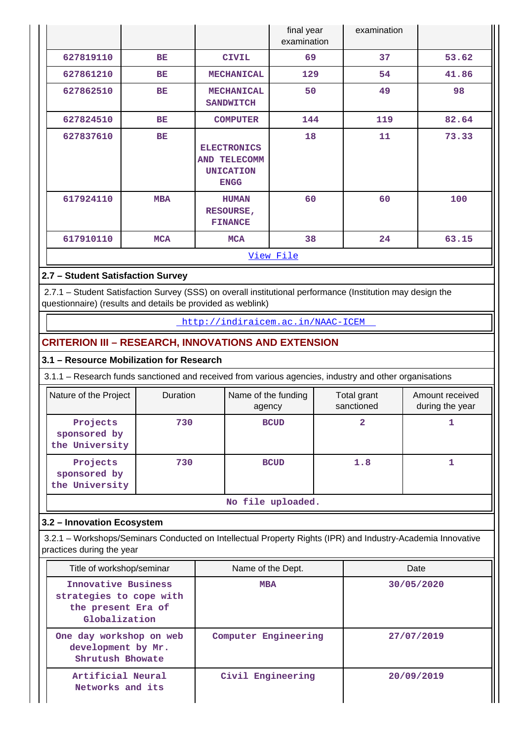|           |            |                                                                       | final year<br>examination | examination |       |  |  |  |
|-----------|------------|-----------------------------------------------------------------------|---------------------------|-------------|-------|--|--|--|
| 627819110 | BE         | <b>CIVIL</b>                                                          | 69                        | 37          | 53.62 |  |  |  |
| 627861210 | BE         | <b>MECHANICAL</b>                                                     | 129                       | 54          | 41.86 |  |  |  |
| 627862510 | BE         | <b>MECHANICAL</b><br><b>SANDWITCH</b>                                 | 50                        | 49          | 98    |  |  |  |
| 627824510 | BE         | <b>COMPUTER</b>                                                       | 144                       | 119         | 82.64 |  |  |  |
| 627837610 | BE         | <b>ELECTRONICS</b><br>AND TELECOMM<br><b>UNICATION</b><br><b>ENGG</b> | 18                        | 11          | 73.33 |  |  |  |
| 617924110 | <b>MBA</b> | <b>HUMAN</b><br>RESOURSE,<br><b>FINANCE</b>                           | 60                        | 60          | 100   |  |  |  |
| 617910110 | <b>MCA</b> | <b>MCA</b>                                                            | 38                        | 24          | 63.15 |  |  |  |
| View File |            |                                                                       |                           |             |       |  |  |  |

## **2.7 – Student Satisfaction Survey**

 2.7.1 – Student Satisfaction Survey (SSS) on overall institutional performance (Institution may design the questionnaire) (results and details be provided as weblink)

<http://indiraicem.ac.in/NAAC-ICEM>

## **CRITERION III – RESEARCH, INNOVATIONS AND EXTENSION**

## **3.1 – Resource Mobilization for Research**

3.1.1 – Research funds sanctioned and received from various agencies, industry and other organisations

| Nature of the Project                      | Duration | Name of the funding<br>agency | Total grant<br>sanctioned | Amount received<br>during the year |  |
|--------------------------------------------|----------|-------------------------------|---------------------------|------------------------------------|--|
| Projects<br>sponsored by<br>the University | 730      | <b>BCUD</b>                   |                           |                                    |  |
| Projects<br>sponsored by<br>the University | 730      | <b>BCUD</b>                   | 1.8                       |                                    |  |

**No file uploaded.**

## **3.2 – Innovation Ecosystem**

 3.2.1 – Workshops/Seminars Conducted on Intellectual Property Rights (IPR) and Industry-Academia Innovative practices during the year

| Title of workshop/seminar                                                             | Name of the Dept.    | Date       |  |
|---------------------------------------------------------------------------------------|----------------------|------------|--|
| Innovative Business<br>strategies to cope with<br>the present Era of<br>Globalization | <b>MBA</b>           | 30/05/2020 |  |
| One day workshop on web<br>development by Mr.<br>Shrutush Bhowate                     | Computer Engineering | 27/07/2019 |  |
| Artificial Neural<br>Networks and its                                                 | Civil Engineering    | 20/09/2019 |  |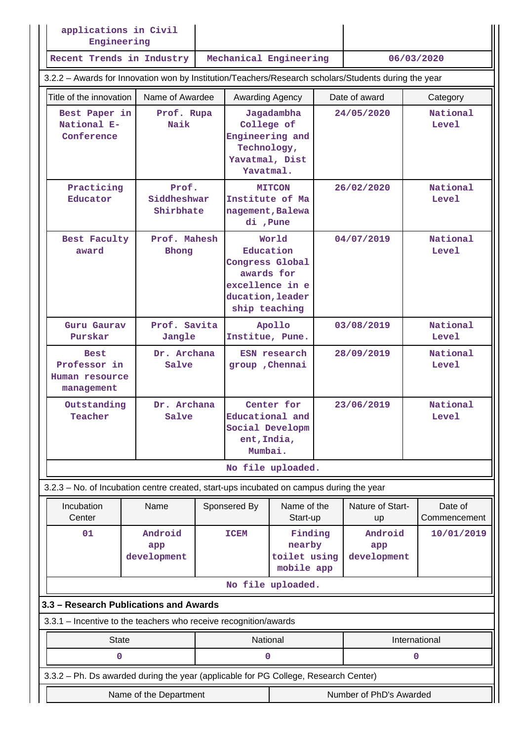| applications in Civil<br>Engineering                                                                 |                                                        |  |                                                                                                             |                                                 |            |                               |                          |
|------------------------------------------------------------------------------------------------------|--------------------------------------------------------|--|-------------------------------------------------------------------------------------------------------------|-------------------------------------------------|------------|-------------------------------|--------------------------|
| Recent Trends in Industry                                                                            |                                                        |  | Mechanical Engineering                                                                                      |                                                 |            |                               | 06/03/2020               |
| 3.2.2 - Awards for Innovation won by Institution/Teachers/Research scholars/Students during the year |                                                        |  |                                                                                                             |                                                 |            |                               |                          |
| Title of the innovation                                                                              | Name of Awardee                                        |  |                                                                                                             | Awarding Agency<br>Date of award                |            |                               | Category                 |
| Best Paper in<br>Prof. Rupa<br>National E-<br>Naik<br>Conference                                     |                                                        |  | Jagadambha<br>College of<br>Engineering and<br>Technology,<br>Yavatmal, Dist<br>Yavatmal.                   |                                                 | 24/05/2020 | National<br>Level             |                          |
| Practicing<br>Educator                                                                               | Prof.<br>Siddheshwar<br>Shirbhate                      |  | Institute of Ma<br>nagement, Balewa<br>di, Pune                                                             | <b>MITCON</b>                                   |            | 26/02/2020                    | National<br>Level        |
| Prof. Mahesh<br>Best Faculty<br>award<br>Bhong                                                       |                                                        |  | World<br>Education<br>Congress Global<br>awards for<br>excellence in e<br>ducation, leader<br>ship teaching |                                                 | 04/07/2019 | National<br><b>Level</b>      |                          |
| Prof. Savita<br>Guru Gaurav<br>Purskar<br>Jangle                                                     |                                                        |  | Institue, Pune.                                                                                             | Apollo                                          |            | 03/08/2019                    | National<br>Level        |
| <b>Best</b><br>management                                                                            | Dr. Archana<br>Professor in<br>Salve<br>Human resource |  | ESN research<br>group , Chennai                                                                             |                                                 |            | 28/09/2019                    | National<br><b>Level</b> |
| Outstanding<br>Teacher                                                                               | Dr. Archana<br>Salve                                   |  | Center for<br>Educational and<br>Social Developm<br>ent, India,<br>Mumbai.                                  |                                                 |            | 23/06/2019                    | National<br><b>Level</b> |
|                                                                                                      |                                                        |  |                                                                                                             | No file uploaded.                               |            |                               |                          |
| 3.2.3 – No. of Incubation centre created, start-ups incubated on campus during the year              |                                                        |  |                                                                                                             |                                                 |            |                               |                          |
| Incubation<br>Center                                                                                 | Name                                                   |  | Sponsered By                                                                                                | Name of the<br>Start-up                         |            | Nature of Start-<br>up        | Date of<br>Commencement  |
| 01                                                                                                   | Android<br>app<br>development                          |  | <b>ICEM</b>                                                                                                 | Finding<br>nearby<br>toilet using<br>mobile app |            | Android<br>app<br>development | 10/01/2019               |
|                                                                                                      |                                                        |  |                                                                                                             | No file uploaded.                               |            |                               |                          |
|                                                                                                      | 3.3 - Research Publications and Awards                 |  |                                                                                                             |                                                 |            |                               |                          |
| 3.3.1 - Incentive to the teachers who receive recognition/awards                                     |                                                        |  |                                                                                                             |                                                 |            |                               |                          |
| <b>State</b>                                                                                         |                                                        |  |                                                                                                             | National                                        |            |                               | International            |
| 0                                                                                                    |                                                        |  | 0                                                                                                           |                                                 |            |                               | 0                        |
| 3.3.2 - Ph. Ds awarded during the year (applicable for PG College, Research Center)                  |                                                        |  |                                                                                                             |                                                 |            |                               |                          |
| Number of PhD's Awarded<br>Name of the Department                                                    |                                                        |  |                                                                                                             |                                                 |            |                               |                          |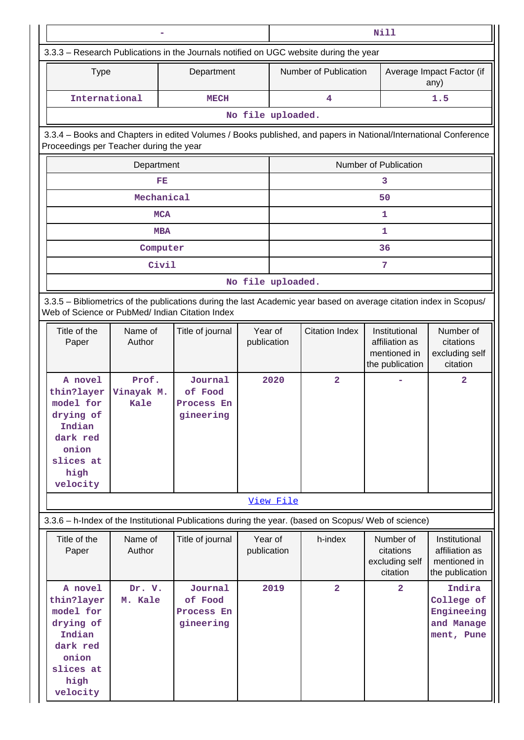|                                                                                                                                                                       |                             |                                                                                                                 |                        | Nill                                                                                  |                         |                                                                    |                                                                    |  |
|-----------------------------------------------------------------------------------------------------------------------------------------------------------------------|-----------------------------|-----------------------------------------------------------------------------------------------------------------|------------------------|---------------------------------------------------------------------------------------|-------------------------|--------------------------------------------------------------------|--------------------------------------------------------------------|--|
|                                                                                                                                                                       |                             |                                                                                                                 |                        | 3.3.3 - Research Publications in the Journals notified on UGC website during the year |                         |                                                                    |                                                                    |  |
| <b>Type</b>                                                                                                                                                           |                             | Department                                                                                                      |                        |                                                                                       | Number of Publication   |                                                                    | Average Impact Factor (if<br>any)                                  |  |
| International                                                                                                                                                         |                             | <b>MECH</b>                                                                                                     |                        | 4<br>1.5                                                                              |                         |                                                                    |                                                                    |  |
|                                                                                                                                                                       |                             |                                                                                                                 |                        | No file uploaded.                                                                     |                         |                                                                    |                                                                    |  |
| Proceedings per Teacher during the year                                                                                                                               |                             | 3.3.4 - Books and Chapters in edited Volumes / Books published, and papers in National/International Conference |                        |                                                                                       |                         |                                                                    |                                                                    |  |
|                                                                                                                                                                       | Department                  |                                                                                                                 |                        |                                                                                       |                         | Number of Publication                                              |                                                                    |  |
|                                                                                                                                                                       | FE                          |                                                                                                                 |                        |                                                                                       |                         | 3                                                                  |                                                                    |  |
|                                                                                                                                                                       | Mechanical                  |                                                                                                                 |                        |                                                                                       |                         | 50                                                                 |                                                                    |  |
|                                                                                                                                                                       | <b>MCA</b>                  |                                                                                                                 |                        |                                                                                       |                         | 1                                                                  |                                                                    |  |
|                                                                                                                                                                       | <b>MBA</b>                  |                                                                                                                 |                        |                                                                                       |                         | 1                                                                  |                                                                    |  |
|                                                                                                                                                                       | Computer                    |                                                                                                                 |                        |                                                                                       |                         | 36                                                                 |                                                                    |  |
|                                                                                                                                                                       | Civil                       |                                                                                                                 |                        |                                                                                       |                         | 7                                                                  |                                                                    |  |
|                                                                                                                                                                       |                             |                                                                                                                 |                        | No file uploaded.                                                                     |                         |                                                                    |                                                                    |  |
| 3.3.5 - Bibliometrics of the publications during the last Academic year based on average citation index in Scopus/<br>Web of Science or PubMed/ Indian Citation Index |                             |                                                                                                                 |                        |                                                                                       |                         |                                                                    |                                                                    |  |
| Title of the<br>Paper                                                                                                                                                 | Name of<br>Author           | Title of journal                                                                                                | Year of<br>publication |                                                                                       | <b>Citation Index</b>   | Institutional<br>affiliation as<br>mentioned in<br>the publication | Number of<br>citations<br>excluding self<br>citation               |  |
| A novel<br>thin?layer<br>model for<br>drying of<br>Indian<br>dark red<br>onion<br>slices at<br>high<br>velocity                                                       | Prof.<br>Vinayak M.<br>Kale | Journal<br>of Food<br>Process En<br>gineering                                                                   |                        | 2020                                                                                  | $\overline{\mathbf{2}}$ |                                                                    | $\overline{a}$                                                     |  |
|                                                                                                                                                                       |                             |                                                                                                                 |                        | View File                                                                             |                         |                                                                    |                                                                    |  |
|                                                                                                                                                                       |                             | 3.3.6 - h-Index of the Institutional Publications during the year. (based on Scopus/ Web of science)            |                        |                                                                                       |                         |                                                                    |                                                                    |  |
| Title of the<br>Paper                                                                                                                                                 | Name of<br>Author           | Title of journal                                                                                                | Year of<br>publication |                                                                                       | h-index                 | Number of<br>citations<br>excluding self<br>citation               | Institutional<br>affiliation as<br>mentioned in<br>the publication |  |
| A novel<br>thin?layer<br>model for<br>drying of<br>Indian<br>dark red<br>onion<br>slices at<br>high<br>velocity                                                       | Dr. V.<br>M. Kale           | Journal<br>of Food<br>Process En<br>gineering                                                                   |                        | 2019                                                                                  | $\overline{2}$          | $\overline{a}$                                                     | Indira<br>College of<br>Engineeing<br>and Manage<br>ment, Pune     |  |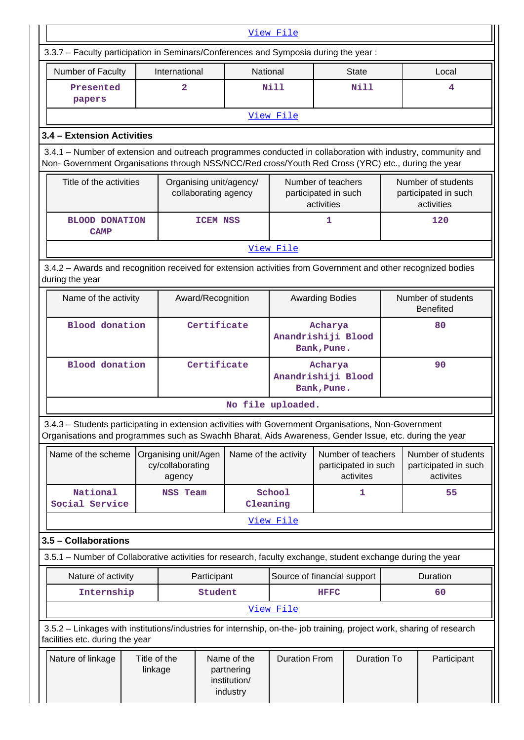|                                                                                                                                                                                                                    | View File |                                                    |                      |                                                       |                                                          |                                                         |                                        |                                                          |          |
|--------------------------------------------------------------------------------------------------------------------------------------------------------------------------------------------------------------------|-----------|----------------------------------------------------|----------------------|-------------------------------------------------------|----------------------------------------------------------|---------------------------------------------------------|----------------------------------------|----------------------------------------------------------|----------|
| 3.3.7 - Faculty participation in Seminars/Conferences and Symposia during the year:                                                                                                                                |           |                                                    |                      |                                                       |                                                          |                                                         |                                        |                                                          |          |
| Number of Faculty                                                                                                                                                                                                  |           | International                                      |                      | <b>National</b>                                       |                                                          |                                                         | <b>State</b>                           |                                                          | Local    |
| Presented<br>papers                                                                                                                                                                                                |           | $\overline{2}$                                     |                      |                                                       | Nill                                                     |                                                         | Nill                                   |                                                          | 4        |
|                                                                                                                                                                                                                    |           |                                                    |                      |                                                       | View File                                                |                                                         |                                        |                                                          |          |
| 3.4 - Extension Activities                                                                                                                                                                                         |           |                                                    |                      |                                                       |                                                          |                                                         |                                        |                                                          |          |
| 3.4.1 - Number of extension and outreach programmes conducted in collaboration with industry, community and<br>Non- Government Organisations through NSS/NCC/Red cross/Youth Red Cross (YRC) etc., during the year |           |                                                    |                      |                                                       |                                                          |                                                         |                                        |                                                          |          |
| Title of the activities                                                                                                                                                                                            |           |                                                    | collaborating agency | Organising unit/agency/                               | Number of teachers<br>participated in such<br>activities |                                                         |                                        | Number of students<br>participated in such<br>activities |          |
| <b>BLOOD DONATION</b><br><b>CAMP</b>                                                                                                                                                                               |           |                                                    | <b>ICEM NSS</b>      |                                                       |                                                          | 1                                                       |                                        |                                                          | 120      |
|                                                                                                                                                                                                                    |           |                                                    |                      |                                                       | View File                                                |                                                         |                                        |                                                          |          |
| 3.4.2 - Awards and recognition received for extension activities from Government and other recognized bodies<br>during the year                                                                                    |           |                                                    |                      |                                                       |                                                          |                                                         |                                        |                                                          |          |
| Name of the activity                                                                                                                                                                                               |           |                                                    | Award/Recognition    |                                                       | <b>Awarding Bodies</b>                                   |                                                         | Number of students<br><b>Benefited</b> |                                                          |          |
| Blood donation                                                                                                                                                                                                     |           |                                                    | Certificate          |                                                       | Acharya<br>Anandrishiji Blood<br>Bank, Pune.             |                                                         | 80                                     |                                                          |          |
| <b>Blood</b> donation                                                                                                                                                                                              |           |                                                    | Certificate          |                                                       | Acharya<br>Anandrishiji Blood<br>Bank, Pune.             |                                                         | 90                                     |                                                          |          |
|                                                                                                                                                                                                                    |           |                                                    |                      |                                                       | No file uploaded.                                        |                                                         |                                        |                                                          |          |
| 3.4.3 - Students participating in extension activities with Government Organisations, Non-Government<br>Organisations and programmes such as Swachh Bharat, Aids Awareness, Gender Issue, etc. during the year     |           |                                                    |                      |                                                       |                                                          |                                                         |                                        |                                                          |          |
| Name of the scheme                                                                                                                                                                                                 |           | Organising unit/Agen<br>cy/collaborating<br>agency |                      | Name of the activity                                  |                                                          | Number of teachers<br>participated in such<br>activites |                                        | Number of students<br>participated in such<br>activites  |          |
| National<br>Social Service                                                                                                                                                                                         |           | NSS Team                                           |                      | Cleaning                                              | School                                                   |                                                         | 1                                      |                                                          | 55       |
|                                                                                                                                                                                                                    |           |                                                    |                      |                                                       | View File                                                |                                                         |                                        |                                                          |          |
| 3.5 - Collaborations                                                                                                                                                                                               |           |                                                    |                      |                                                       |                                                          |                                                         |                                        |                                                          |          |
| 3.5.1 – Number of Collaborative activities for research, faculty exchange, student exchange during the year                                                                                                        |           |                                                    |                      |                                                       |                                                          |                                                         |                                        |                                                          |          |
| Nature of activity                                                                                                                                                                                                 |           |                                                    | Participant          |                                                       | Source of financial support                              |                                                         |                                        |                                                          | Duration |
| Internship                                                                                                                                                                                                         |           |                                                    | Student              |                                                       |                                                          | <b>HFFC</b>                                             |                                        |                                                          | 60       |
|                                                                                                                                                                                                                    |           |                                                    |                      |                                                       | View File                                                |                                                         |                                        |                                                          |          |
| 3.5.2 - Linkages with institutions/industries for internship, on-the- job training, project work, sharing of research<br>facilities etc. during the year                                                           |           |                                                    |                      |                                                       |                                                          |                                                         |                                        |                                                          |          |
| Title of the<br>Nature of linkage<br>linkage                                                                                                                                                                       |           |                                                    |                      | Name of the<br>partnering<br>institution/<br>industry | <b>Duration From</b><br><b>Duration To</b>               |                                                         |                                        | Participant                                              |          |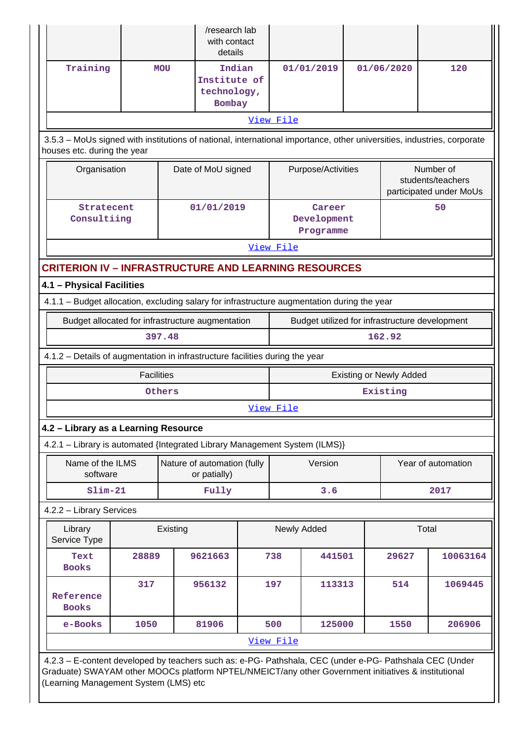|                                                                                                    |                                                                                                                                                                                                                                                         |                   |            | /research lab<br>with contact<br>details        |     |             |                                    |  |                                |       |                                                           |
|----------------------------------------------------------------------------------------------------|---------------------------------------------------------------------------------------------------------------------------------------------------------------------------------------------------------------------------------------------------------|-------------------|------------|-------------------------------------------------|-----|-------------|------------------------------------|--|--------------------------------|-------|-----------------------------------------------------------|
|                                                                                                    | Training                                                                                                                                                                                                                                                |                   | <b>MOU</b> | Indian<br>Institute of<br>technology,<br>Bombay |     |             | 01/01/2019                         |  | 01/06/2020                     |       | 120                                                       |
|                                                                                                    |                                                                                                                                                                                                                                                         |                   |            |                                                 |     | View File   |                                    |  |                                |       |                                                           |
|                                                                                                    | 3.5.3 - MoUs signed with institutions of national, international importance, other universities, industries, corporate<br>houses etc. during the year                                                                                                   |                   |            |                                                 |     |             |                                    |  |                                |       |                                                           |
|                                                                                                    | Organisation                                                                                                                                                                                                                                            |                   |            | Date of MoU signed                              |     |             | Purpose/Activities                 |  |                                |       | Number of<br>students/teachers<br>participated under MoUs |
|                                                                                                    | Stratecent<br>Consultiing                                                                                                                                                                                                                               |                   |            | 01/01/2019                                      |     |             | Career<br>Development<br>Programme |  |                                |       | 50                                                        |
|                                                                                                    |                                                                                                                                                                                                                                                         |                   |            |                                                 |     | View File   |                                    |  |                                |       |                                                           |
|                                                                                                    | <b>CRITERION IV - INFRASTRUCTURE AND LEARNING RESOURCES</b>                                                                                                                                                                                             |                   |            |                                                 |     |             |                                    |  |                                |       |                                                           |
|                                                                                                    | 4.1 - Physical Facilities                                                                                                                                                                                                                               |                   |            |                                                 |     |             |                                    |  |                                |       |                                                           |
|                                                                                                    | 4.1.1 - Budget allocation, excluding salary for infrastructure augmentation during the year                                                                                                                                                             |                   |            |                                                 |     |             |                                    |  |                                |       |                                                           |
| Budget utilized for infrastructure development<br>Budget allocated for infrastructure augmentation |                                                                                                                                                                                                                                                         |                   |            |                                                 |     |             |                                    |  |                                |       |                                                           |
|                                                                                                    |                                                                                                                                                                                                                                                         |                   | 397.48     |                                                 |     |             |                                    |  | 162.92                         |       |                                                           |
|                                                                                                    | 4.1.2 - Details of augmentation in infrastructure facilities during the year                                                                                                                                                                            |                   |            |                                                 |     |             |                                    |  |                                |       |                                                           |
|                                                                                                    |                                                                                                                                                                                                                                                         | <b>Facilities</b> |            |                                                 |     |             |                                    |  | <b>Existing or Newly Added</b> |       |                                                           |
|                                                                                                    |                                                                                                                                                                                                                                                         |                   | Others     |                                                 |     |             |                                    |  | Existing                       |       |                                                           |
|                                                                                                    |                                                                                                                                                                                                                                                         |                   |            |                                                 |     | View File   |                                    |  |                                |       |                                                           |
|                                                                                                    | 4.2 - Library as a Learning Resource                                                                                                                                                                                                                    |                   |            |                                                 |     |             |                                    |  |                                |       |                                                           |
|                                                                                                    | 4.2.1 - Library is automated {Integrated Library Management System (ILMS)}                                                                                                                                                                              |                   |            |                                                 |     |             |                                    |  |                                |       |                                                           |
|                                                                                                    | Name of the ILMS<br>software                                                                                                                                                                                                                            |                   |            | Nature of automation (fully<br>or patially)     |     |             | Version                            |  |                                |       | Year of automation                                        |
|                                                                                                    | $Slim-21$                                                                                                                                                                                                                                               |                   |            | Fully                                           |     |             | 3.6                                |  |                                |       | 2017                                                      |
|                                                                                                    | 4.2.2 - Library Services                                                                                                                                                                                                                                |                   |            |                                                 |     |             |                                    |  |                                |       |                                                           |
|                                                                                                    | Library<br>Service Type                                                                                                                                                                                                                                 |                   | Existing   |                                                 |     | Newly Added |                                    |  |                                | Total |                                                           |
|                                                                                                    | Text<br><b>Books</b>                                                                                                                                                                                                                                    | 28889             |            | 9621663                                         |     | 738         | 441501                             |  | 29627                          |       | 10063164                                                  |
|                                                                                                    | Reference<br><b>Books</b>                                                                                                                                                                                                                               | 317               |            | 956132                                          | 197 |             | 113313                             |  | 514                            |       | 1069445                                                   |
|                                                                                                    | e-Books                                                                                                                                                                                                                                                 | 1050              |            | 81906                                           |     | 500         | 125000                             |  | 1550                           |       | 206906                                                    |
|                                                                                                    |                                                                                                                                                                                                                                                         |                   |            |                                                 |     | View File   |                                    |  |                                |       |                                                           |
|                                                                                                    | 4.2.3 - E-content developed by teachers such as: e-PG- Pathshala, CEC (under e-PG- Pathshala CEC (Under<br>Graduate) SWAYAM other MOOCs platform NPTEL/NMEICT/any other Government initiatives & institutional<br>(Learning Management System (LMS) etc |                   |            |                                                 |     |             |                                    |  |                                |       |                                                           |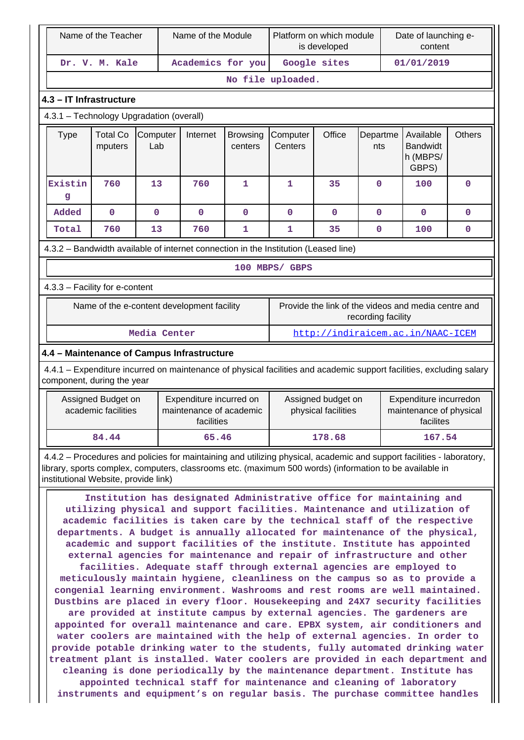| Name of the Teacher                        |                                                                                                                                                                                                                                                                                                                                                                                                                                                                                                                                                                                                                                                                                                                                                                                                                                                                                                                                                                                                                                                                                                                                                                                                                                                                                                                                                                                                                                                           | Name of the Module |                                                                  |                            | Platform on which module<br>is developed                                  |              |                 | Date of launching e-<br>content                                                                                                                                                                                                  |               |  |
|--------------------------------------------|-----------------------------------------------------------------------------------------------------------------------------------------------------------------------------------------------------------------------------------------------------------------------------------------------------------------------------------------------------------------------------------------------------------------------------------------------------------------------------------------------------------------------------------------------------------------------------------------------------------------------------------------------------------------------------------------------------------------------------------------------------------------------------------------------------------------------------------------------------------------------------------------------------------------------------------------------------------------------------------------------------------------------------------------------------------------------------------------------------------------------------------------------------------------------------------------------------------------------------------------------------------------------------------------------------------------------------------------------------------------------------------------------------------------------------------------------------------|--------------------|------------------------------------------------------------------|----------------------------|---------------------------------------------------------------------------|--------------|-----------------|----------------------------------------------------------------------------------------------------------------------------------------------------------------------------------------------------------------------------------|---------------|--|
| Dr. V. M. Kale                             |                                                                                                                                                                                                                                                                                                                                                                                                                                                                                                                                                                                                                                                                                                                                                                                                                                                                                                                                                                                                                                                                                                                                                                                                                                                                                                                                                                                                                                                           |                    | Academics for you                                                |                            |                                                                           | Google sites |                 | 01/01/2019                                                                                                                                                                                                                       |               |  |
|                                            |                                                                                                                                                                                                                                                                                                                                                                                                                                                                                                                                                                                                                                                                                                                                                                                                                                                                                                                                                                                                                                                                                                                                                                                                                                                                                                                                                                                                                                                           |                    |                                                                  |                            | No file uploaded.                                                         |              |                 |                                                                                                                                                                                                                                  |               |  |
|                                            | 4.3 - IT Infrastructure                                                                                                                                                                                                                                                                                                                                                                                                                                                                                                                                                                                                                                                                                                                                                                                                                                                                                                                                                                                                                                                                                                                                                                                                                                                                                                                                                                                                                                   |                    |                                                                  |                            |                                                                           |              |                 |                                                                                                                                                                                                                                  |               |  |
|                                            | 4.3.1 - Technology Upgradation (overall)                                                                                                                                                                                                                                                                                                                                                                                                                                                                                                                                                                                                                                                                                                                                                                                                                                                                                                                                                                                                                                                                                                                                                                                                                                                                                                                                                                                                                  |                    |                                                                  |                            |                                                                           |              |                 |                                                                                                                                                                                                                                  |               |  |
| <b>Type</b>                                | <b>Total Co</b><br>mputers                                                                                                                                                                                                                                                                                                                                                                                                                                                                                                                                                                                                                                                                                                                                                                                                                                                                                                                                                                                                                                                                                                                                                                                                                                                                                                                                                                                                                                | Computer<br>Lab    | Internet                                                         | <b>Browsing</b><br>centers | Computer<br>Centers                                                       | Office       | Departme<br>nts | Available<br><b>Bandwidt</b><br>h (MBPS/<br>GBPS)                                                                                                                                                                                | <b>Others</b> |  |
| Existin<br>g                               | 760                                                                                                                                                                                                                                                                                                                                                                                                                                                                                                                                                                                                                                                                                                                                                                                                                                                                                                                                                                                                                                                                                                                                                                                                                                                                                                                                                                                                                                                       | 13                 | 760                                                              | 1                          | 1                                                                         | 35           | $\mathbf 0$     | 100                                                                                                                                                                                                                              | 0             |  |
| Added                                      | $\mathbf 0$                                                                                                                                                                                                                                                                                                                                                                                                                                                                                                                                                                                                                                                                                                                                                                                                                                                                                                                                                                                                                                                                                                                                                                                                                                                                                                                                                                                                                                               | $\mathbf 0$        | $\mathbf 0$                                                      | $\mathbf 0$                | 0                                                                         | $\mathbf 0$  | $\mathbf 0$     | $\mathbf 0$                                                                                                                                                                                                                      | $\mathbf 0$   |  |
| Total                                      | 760                                                                                                                                                                                                                                                                                                                                                                                                                                                                                                                                                                                                                                                                                                                                                                                                                                                                                                                                                                                                                                                                                                                                                                                                                                                                                                                                                                                                                                                       | 13                 | 760                                                              | 1                          | 1                                                                         | 35           | $\mathbf 0$     | 100                                                                                                                                                                                                                              | 0             |  |
|                                            | 4.3.2 - Bandwidth available of internet connection in the Institution (Leased line)                                                                                                                                                                                                                                                                                                                                                                                                                                                                                                                                                                                                                                                                                                                                                                                                                                                                                                                                                                                                                                                                                                                                                                                                                                                                                                                                                                       |                    |                                                                  |                            |                                                                           |              |                 |                                                                                                                                                                                                                                  |               |  |
| 100 MBPS/ GBPS                             |                                                                                                                                                                                                                                                                                                                                                                                                                                                                                                                                                                                                                                                                                                                                                                                                                                                                                                                                                                                                                                                                                                                                                                                                                                                                                                                                                                                                                                                           |                    |                                                                  |                            |                                                                           |              |                 |                                                                                                                                                                                                                                  |               |  |
|                                            | 4.3.3 - Facility for e-content                                                                                                                                                                                                                                                                                                                                                                                                                                                                                                                                                                                                                                                                                                                                                                                                                                                                                                                                                                                                                                                                                                                                                                                                                                                                                                                                                                                                                            |                    |                                                                  |                            |                                                                           |              |                 |                                                                                                                                                                                                                                  |               |  |
|                                            | Name of the e-content development facility                                                                                                                                                                                                                                                                                                                                                                                                                                                                                                                                                                                                                                                                                                                                                                                                                                                                                                                                                                                                                                                                                                                                                                                                                                                                                                                                                                                                                |                    |                                                                  |                            | Provide the link of the videos and media centre and<br>recording facility |              |                 |                                                                                                                                                                                                                                  |               |  |
|                                            |                                                                                                                                                                                                                                                                                                                                                                                                                                                                                                                                                                                                                                                                                                                                                                                                                                                                                                                                                                                                                                                                                                                                                                                                                                                                                                                                                                                                                                                           | Media Center       |                                                                  |                            |                                                                           |              |                 | http://indiraicem.ac.in/NAAC-ICEM                                                                                                                                                                                                |               |  |
| 4.4 - Maintenance of Campus Infrastructure |                                                                                                                                                                                                                                                                                                                                                                                                                                                                                                                                                                                                                                                                                                                                                                                                                                                                                                                                                                                                                                                                                                                                                                                                                                                                                                                                                                                                                                                           |                    |                                                                  |                            |                                                                           |              |                 |                                                                                                                                                                                                                                  |               |  |
| component, during the year                 |                                                                                                                                                                                                                                                                                                                                                                                                                                                                                                                                                                                                                                                                                                                                                                                                                                                                                                                                                                                                                                                                                                                                                                                                                                                                                                                                                                                                                                                           |                    |                                                                  |                            |                                                                           |              |                 | 4.4.1 – Expenditure incurred on maintenance of physical facilities and academic support facilities, excluding salary                                                                                                             |               |  |
|                                            | Assigned Budget on<br>academic facilities                                                                                                                                                                                                                                                                                                                                                                                                                                                                                                                                                                                                                                                                                                                                                                                                                                                                                                                                                                                                                                                                                                                                                                                                                                                                                                                                                                                                                 |                    | Expenditure incurred on<br>maintenance of academic<br>facilities |                            | Assigned budget on<br>physical facilities                                 |              |                 | Expenditure incurredon<br>maintenance of physical<br>facilites                                                                                                                                                                   |               |  |
|                                            | 84.44                                                                                                                                                                                                                                                                                                                                                                                                                                                                                                                                                                                                                                                                                                                                                                                                                                                                                                                                                                                                                                                                                                                                                                                                                                                                                                                                                                                                                                                     |                    | 65.46                                                            |                            | 178.68                                                                    |              |                 | 167.54                                                                                                                                                                                                                           |               |  |
| institutional Website, provide link)       |                                                                                                                                                                                                                                                                                                                                                                                                                                                                                                                                                                                                                                                                                                                                                                                                                                                                                                                                                                                                                                                                                                                                                                                                                                                                                                                                                                                                                                                           |                    |                                                                  |                            |                                                                           |              |                 | 4.4.2 – Procedures and policies for maintaining and utilizing physical, academic and support facilities - laboratory,<br>library, sports complex, computers, classrooms etc. (maximum 500 words) (information to be available in |               |  |
|                                            | Institution has designated Administrative office for maintaining and<br>utilizing physical and support facilities. Maintenance and utilization of<br>academic facilities is taken care by the technical staff of the respective<br>departments. A budget is annually allocated for maintenance of the physical,<br>academic and support facilities of the institute. Institute has appointed<br>external agencies for maintenance and repair of infrastructure and other<br>facilities. Adequate staff through external agencies are employed to<br>meticulously maintain hygiene, cleanliness on the campus so as to provide a<br>congenial learning environment. Washrooms and rest rooms are well maintained.<br>Dustbins are placed in every floor. Housekeeping and 24X7 security facilities<br>are provided at institute campus by external agencies. The gardeners are<br>appointed for overall maintenance and care. EPBX system, air conditioners and<br>water coolers are maintained with the help of external agencies. In order to<br>provide potable drinking water to the students, fully automated drinking water<br>treatment plant is installed. Water coolers are provided in each department and<br>cleaning is done periodically by the maintenance department. Institute has<br>appointed technical staff for maintenance and cleaning of laboratory<br>instruments and equipment's on regular basis. The purchase committee handles |                    |                                                                  |                            |                                                                           |              |                 |                                                                                                                                                                                                                                  |               |  |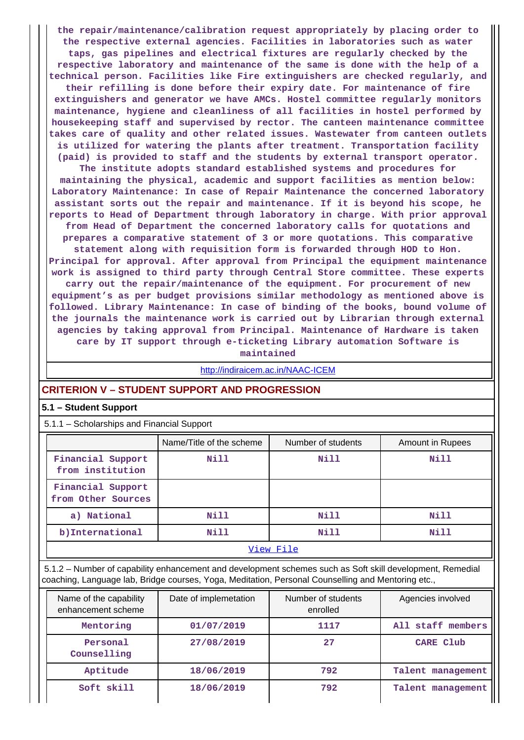**the repair/maintenance/calibration request appropriately by placing order to the respective external agencies. Facilities in laboratories such as water taps, gas pipelines and electrical fixtures are regularly checked by the respective laboratory and maintenance of the same is done with the help of a technical person. Facilities like Fire extinguishers are checked regularly, and their refilling is done before their expiry date. For maintenance of fire extinguishers and generator we have AMCs. Hostel committee regularly monitors**

**maintenance, hygiene and cleanliness of all facilities in hostel performed by housekeeping staff and supervised by rector. The canteen maintenance committee takes care of quality and other related issues. Wastewater from canteen outlets is utilized for watering the plants after treatment. Transportation facility (paid) is provided to staff and the students by external transport operator.**

**The institute adopts standard established systems and procedures for maintaining the physical, academic and support facilities as mention below: Laboratory Maintenance: In case of Repair Maintenance the concerned laboratory assistant sorts out the repair and maintenance. If it is beyond his scope, he reports to Head of Department through laboratory in charge. With prior approval from Head of Department the concerned laboratory calls for quotations and prepares a comparative statement of 3 or more quotations. This comparative**

**statement along with requisition form is forwarded through HOD to Hon. Principal for approval. After approval from Principal the equipment maintenance work is assigned to third party through Central Store committee. These experts carry out the repair/maintenance of the equipment. For procurement of new equipment's as per budget provisions similar methodology as mentioned above is followed. Library Maintenance: In case of binding of the books, bound volume of the journals the maintenance work is carried out by Librarian through external agencies by taking approval from Principal. Maintenance of Hardware is taken**

**care by IT support through e-ticketing Library automation Software is**

**maintained**

<http://indiraicem.ac.in/NAAC-ICEM>

## **CRITERION V – STUDENT SUPPORT AND PROGRESSION**

## **5.1 – Student Support**

5.1.1 – Scholarships and Financial Support

|                                         | Name/Title of the scheme | Number of students | <b>Amount in Rupees</b> |  |  |  |  |  |
|-----------------------------------------|--------------------------|--------------------|-------------------------|--|--|--|--|--|
| Financial Support<br>from institution   | Nill                     | Nill               | Nill                    |  |  |  |  |  |
| Financial Support<br>from Other Sources |                          |                    |                         |  |  |  |  |  |
| a) National                             | Nill                     | Nill               | Nill                    |  |  |  |  |  |
| b) International                        | Nill                     | Nill               | Nill                    |  |  |  |  |  |
| View File                               |                          |                    |                         |  |  |  |  |  |

 5.1.2 – Number of capability enhancement and development schemes such as Soft skill development, Remedial coaching, Language lab, Bridge courses, Yoga, Meditation, Personal Counselling and Mentoring etc.,

| Name of the capability<br>enhancement scheme | Date of implemetation |      | Agencies involved |
|----------------------------------------------|-----------------------|------|-------------------|
| Mentoring                                    | 01/07/2019            | 1117 | All staff members |
| Personal<br>Counselling                      | 27/08/2019            | 27   | CARE Club         |
| Aptitude                                     | 18/06/2019            | 792  | Talent management |
| Soft skill                                   | 18/06/2019            | 792  | Talent management |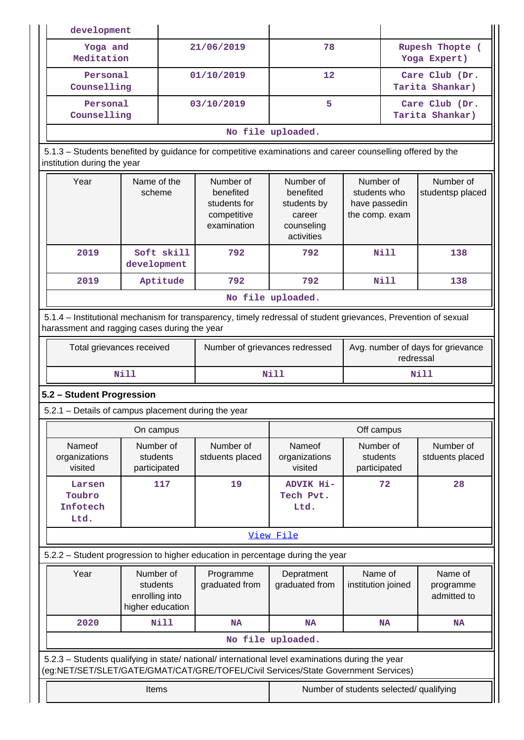|  | development                                         |                                                             |                                                                      |                                                                                                                                                                                        |                                                                             |                                                              |                                   |                                     |
|--|-----------------------------------------------------|-------------------------------------------------------------|----------------------------------------------------------------------|----------------------------------------------------------------------------------------------------------------------------------------------------------------------------------------|-----------------------------------------------------------------------------|--------------------------------------------------------------|-----------------------------------|-------------------------------------|
|  | Yoga and<br>Meditation<br>Personal<br>Counselling   |                                                             |                                                                      | 21/06/2019                                                                                                                                                                             | 78                                                                          |                                                              |                                   | Rupesh Thopte (<br>Yoga Expert)     |
|  |                                                     |                                                             | 01/10/2019                                                           |                                                                                                                                                                                        | 12                                                                          |                                                              | Care Club (Dr.<br>Tarita Shankar) |                                     |
|  | Personal<br>Counselling                             |                                                             |                                                                      | 03/10/2019                                                                                                                                                                             | 5                                                                           |                                                              |                                   | Care Club (Dr.<br>Tarita Shankar)   |
|  |                                                     |                                                             |                                                                      |                                                                                                                                                                                        | No file uploaded.                                                           |                                                              |                                   |                                     |
|  | institution during the year                         |                                                             |                                                                      | 5.1.3 – Students benefited by guidance for competitive examinations and career counselling offered by the                                                                              |                                                                             |                                                              |                                   |                                     |
|  | Year<br>Name of the<br>scheme                       |                                                             | Number of<br>benefited<br>students for<br>competitive<br>examination |                                                                                                                                                                                        | Number of<br>benefited<br>students by<br>career<br>counseling<br>activities | Number of<br>students who<br>have passedin<br>the comp. exam |                                   | Number of<br>studentsp placed       |
|  | 2019                                                | development                                                 | Soft skill                                                           | 792                                                                                                                                                                                    | 792                                                                         |                                                              | Nill                              | 138                                 |
|  | 2019                                                |                                                             | Aptitude                                                             | 792                                                                                                                                                                                    | 792                                                                         |                                                              | Nill                              | 138                                 |
|  |                                                     |                                                             |                                                                      |                                                                                                                                                                                        | No file uploaded.                                                           |                                                              |                                   |                                     |
|  | harassment and ragging cases during the year        |                                                             |                                                                      | 5.1.4 - Institutional mechanism for transparency, timely redressal of student grievances, Prevention of sexual                                                                         |                                                                             |                                                              |                                   |                                     |
|  | Total grievances received                           |                                                             |                                                                      | Number of grievances redressed                                                                                                                                                         | Avg. number of days for grievance<br>redressal                              |                                                              |                                   |                                     |
|  | <b>Nill</b>                                         |                                                             |                                                                      | Nill                                                                                                                                                                                   |                                                                             |                                                              |                                   |                                     |
|  |                                                     |                                                             |                                                                      |                                                                                                                                                                                        |                                                                             |                                                              |                                   | Nill                                |
|  | 5.2 - Student Progression                           |                                                             |                                                                      |                                                                                                                                                                                        |                                                                             |                                                              |                                   |                                     |
|  | 5.2.1 – Details of campus placement during the year |                                                             |                                                                      |                                                                                                                                                                                        |                                                                             |                                                              |                                   |                                     |
|  |                                                     | On campus                                                   |                                                                      |                                                                                                                                                                                        |                                                                             | Off campus                                                   |                                   |                                     |
|  | Nameof<br>organizations<br>visited                  | Number of<br>students<br>participated                       |                                                                      | Number of<br>stduents placed                                                                                                                                                           | Nameof<br>organizations<br>visited                                          | Number of<br>students<br>participated                        |                                   | Number of<br>stduents placed        |
|  | Larsen<br>Toubro<br>Infotech<br>Ltd.                |                                                             | 117                                                                  | 19                                                                                                                                                                                     | ADVIK Hi-<br>Tech Pvt.<br>Ltd.                                              |                                                              | 72                                | 28                                  |
|  |                                                     |                                                             |                                                                      |                                                                                                                                                                                        | View File                                                                   |                                                              |                                   |                                     |
|  |                                                     |                                                             |                                                                      | 5.2.2 - Student progression to higher education in percentage during the year                                                                                                          |                                                                             |                                                              |                                   |                                     |
|  | Year                                                | Number of<br>students<br>enrolling into<br>higher education |                                                                      | Programme<br>graduated from                                                                                                                                                            | Depratment<br>graduated from                                                | Name of<br>institution joined                                |                                   | Name of<br>programme<br>admitted to |
|  | 2020                                                |                                                             | <b>Nill</b>                                                          | <b>NA</b>                                                                                                                                                                              | <b>NA</b>                                                                   |                                                              | <b>NA</b>                         | <b>NA</b>                           |
|  |                                                     |                                                             |                                                                      |                                                                                                                                                                                        | No file uploaded.                                                           |                                                              |                                   |                                     |
|  |                                                     |                                                             |                                                                      | 5.2.3 - Students qualifying in state/ national/ international level examinations during the year<br>(eg:NET/SET/SLET/GATE/GMAT/CAT/GRE/TOFEL/Civil Services/State Government Services) |                                                                             |                                                              |                                   |                                     |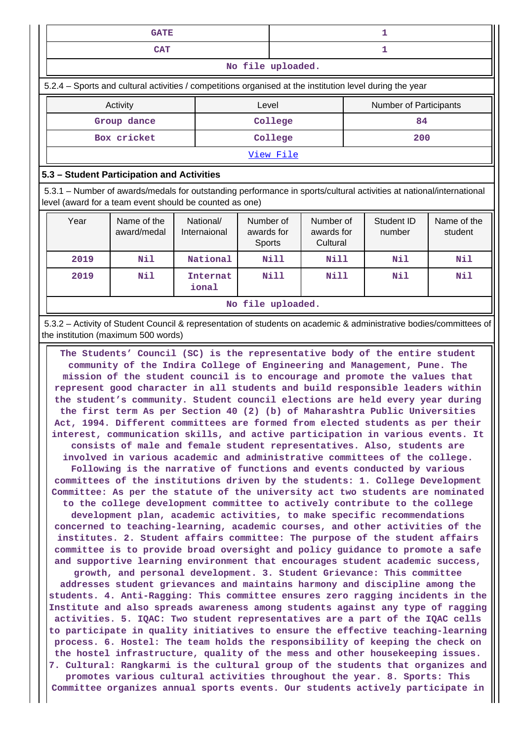| <b>GATE</b>       |  |  |  |  |  |  |
|-------------------|--|--|--|--|--|--|
| <b>CAT</b>        |  |  |  |  |  |  |
| No file uploaded. |  |  |  |  |  |  |

5.2.4 – Sports and cultural activities / competitions organised at the institution level during the year

| Activity    | Level     | <b>Number of Participants</b> |  |  |  |  |  |
|-------------|-----------|-------------------------------|--|--|--|--|--|
| Group dance | College   | 84                            |  |  |  |  |  |
| Box cricket | College   | 200                           |  |  |  |  |  |
|             | View File |                               |  |  |  |  |  |

## **5.3 – Student Participation and Activities**

 5.3.1 – Number of awards/medals for outstanding performance in sports/cultural activities at national/international level (award for a team event should be counted as one)

| Year | Name of the<br>award/medal | National/<br>Internaional | Number of<br>awards for<br>Sports | Number of<br>awards for<br>Cultural | Student ID<br>number | Name of the<br>student |  |  |  |
|------|----------------------------|---------------------------|-----------------------------------|-------------------------------------|----------------------|------------------------|--|--|--|
| 2019 | Nil                        | National                  | <b>Nill</b>                       | <b>Nill</b>                         | Nil                  | Nil                    |  |  |  |
| 2019 | Nil                        | Internat<br>ional         | <b>Nill</b>                       | Nill                                | Nil                  | Nil                    |  |  |  |
|      | No file uploaded.          |                           |                                   |                                     |                      |                        |  |  |  |

 5.3.2 – Activity of Student Council & representation of students on academic & administrative bodies/committees of the institution (maximum 500 words)

 **The Students' Council (SC) is the representative body of the entire student community of the Indira College of Engineering and Management, Pune. The mission of the student council is to encourage and promote the values that represent good character in all students and build responsible leaders within the student's community. Student council elections are held every year during the first term As per Section 40 (2) (b) of Maharashtra Public Universities Act, 1994. Different committees are formed from elected students as per their interest, communication skills, and active participation in various events. It consists of male and female student representatives. Also, students are involved in various academic and administrative committees of the college. Following is the narrative of functions and events conducted by various committees of the institutions driven by the students: 1. College Development Committee: As per the statute of the university act two students are nominated to the college development committee to actively contribute to the college development plan, academic activities, to make specific recommendations concerned to teaching-learning, academic courses, and other activities of the institutes. 2. Student affairs committee: The purpose of the student affairs committee is to provide broad oversight and policy guidance to promote a safe and supportive learning environment that encourages student academic success, growth, and personal development. 3. Student Grievance: This committee addresses student grievances and maintains harmony and discipline among the students. 4. Anti-Ragging: This committee ensures zero ragging incidents in the Institute and also spreads awareness among students against any type of ragging activities. 5. IQAC: Two student representatives are a part of the IQAC cells to participate in quality initiatives to ensure the effective teaching-learning process. 6. Hostel: The team holds the responsibility of keeping the check on the hostel infrastructure, quality of the mess and other housekeeping issues. 7. Cultural: Rangkarmi is the cultural group of the students that organizes and promotes various cultural activities throughout the year. 8. Sports: This Committee organizes annual sports events. Our students actively participate in**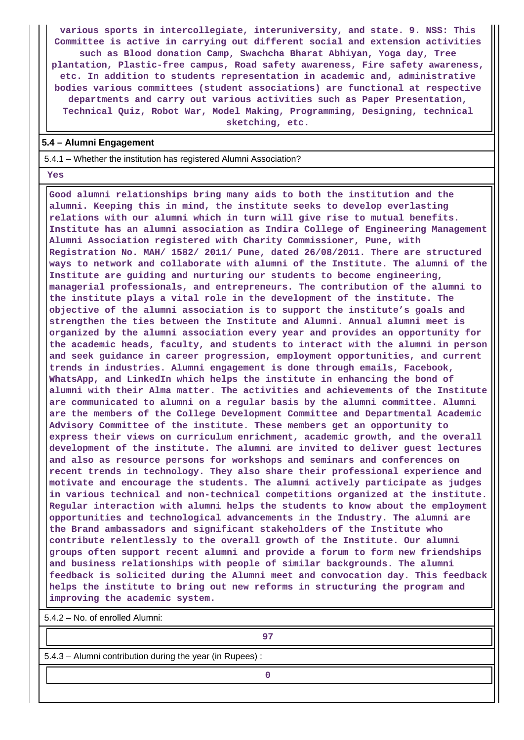**various sports in intercollegiate, interuniversity, and state. 9. NSS: This Committee is active in carrying out different social and extension activities such as Blood donation Camp, Swachcha Bharat Abhiyan, Yoga day, Tree plantation, Plastic-free campus, Road safety awareness, Fire safety awareness, etc. In addition to students representation in academic and, administrative bodies various committees (student associations) are functional at respective departments and carry out various activities such as Paper Presentation, Technical Quiz, Robot War, Model Making, Programming, Designing, technical sketching, etc.**

#### **5.4 – Alumni Engagement**

5.4.1 – Whether the institution has registered Alumni Association?

#### **Yes**

 **Good alumni relationships bring many aids to both the institution and the alumni. Keeping this in mind, the institute seeks to develop everlasting relations with our alumni which in turn will give rise to mutual benefits. Institute has an alumni association as Indira College of Engineering Management Alumni Association registered with Charity Commissioner, Pune, with Registration No. MAH/ 1582/ 2011/ Pune, dated 26/08/2011. There are structured ways to network and collaborate with alumni of the Institute. The alumni of the Institute are guiding and nurturing our students to become engineering, managerial professionals, and entrepreneurs. The contribution of the alumni to the institute plays a vital role in the development of the institute. The objective of the alumni association is to support the institute's goals and strengthen the ties between the Institute and Alumni. Annual alumni meet is organized by the alumni association every year and provides an opportunity for the academic heads, faculty, and students to interact with the alumni in person and seek guidance in career progression, employment opportunities, and current trends in industries. Alumni engagement is done through emails, Facebook, WhatsApp, and LinkedIn which helps the institute in enhancing the bond of alumni with their Alma matter. The activities and achievements of the Institute are communicated to alumni on a regular basis by the alumni committee. Alumni are the members of the College Development Committee and Departmental Academic Advisory Committee of the institute. These members get an opportunity to express their views on curriculum enrichment, academic growth, and the overall development of the institute. The alumni are invited to deliver guest lectures and also as resource persons for workshops and seminars and conferences on recent trends in technology. They also share their professional experience and motivate and encourage the students. The alumni actively participate as judges in various technical and non-technical competitions organized at the institute. Regular interaction with alumni helps the students to know about the employment opportunities and technological advancements in the Industry. The alumni are the Brand ambassadors and significant stakeholders of the Institute who contribute relentlessly to the overall growth of the Institute. Our alumni groups often support recent alumni and provide a forum to form new friendships and business relationships with people of similar backgrounds. The alumni feedback is solicited during the Alumni meet and convocation day. This feedback helps the institute to bring out new reforms in structuring the program and improving the academic system.**

5.4.2 – No. of enrolled Alumni:

**97**

5.4.3 – Alumni contribution during the year (in Rupees) :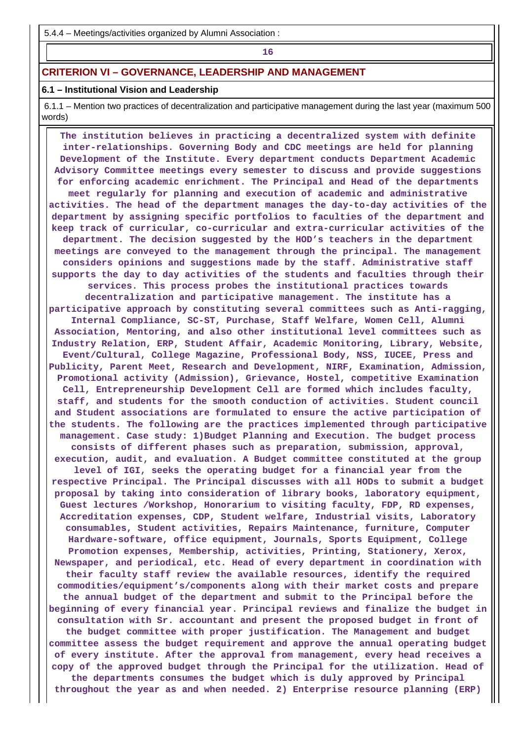5.4.4 – Meetings/activities organized by Alumni Association :

**16** 

## **CRITERION VI – GOVERNANCE, LEADERSHIP AND MANAGEMENT**

## **6.1 – Institutional Vision and Leadership**

 6.1.1 – Mention two practices of decentralization and participative management during the last year (maximum 500 words)

 **The institution believes in practicing a decentralized system with definite inter-relationships. Governing Body and CDC meetings are held for planning Development of the Institute. Every department conducts Department Academic Advisory Committee meetings every semester to discuss and provide suggestions for enforcing academic enrichment. The Principal and Head of the departments meet regularly for planning and execution of academic and administrative activities. The head of the department manages the day-to-day activities of the department by assigning specific portfolios to faculties of the department and keep track of curricular, co-curricular and extra-curricular activities of the department. The decision suggested by the HOD's teachers in the department meetings are conveyed to the management through the principal. The management considers opinions and suggestions made by the staff. Administrative staff supports the day to day activities of the students and faculties through their services. This process probes the institutional practices towards decentralization and participative management. The institute has a participative approach by constituting several committees such as Anti-ragging, Internal Compliance, SC-ST, Purchase, Staff Welfare, Women Cell, Alumni Association, Mentoring, and also other institutional level committees such as Industry Relation, ERP, Student Affair, Academic Monitoring, Library, Website, Event/Cultural, College Magazine, Professional Body, NSS, IUCEE, Press and Publicity, Parent Meet, Research and Development, NIRF, Examination, Admission, Promotional activity (Admission), Grievance, Hostel, competitive Examination Cell, Entrepreneurship Development Cell are formed which includes faculty, staff, and students for the smooth conduction of activities. Student council and Student associations are formulated to ensure the active participation of the students. The following are the practices implemented through participative management. Case study: 1)Budget Planning and Execution. The budget process consists of different phases such as preparation, submission, approval, execution, audit, and evaluation. A Budget committee constituted at the group level of IGI, seeks the operating budget for a financial year from the respective Principal. The Principal discusses with all HODs to submit a budget proposal by taking into consideration of library books, laboratory equipment, Guest lectures /Workshop, Honorarium to visiting faculty, FDP, RD expenses, Accreditation expenses, CDP, Student welfare, Industrial visits, Laboratory consumables, Student activities, Repairs Maintenance, furniture, Computer Hardware-software, office equipment, Journals, Sports Equipment, College Promotion expenses, Membership, activities, Printing, Stationery, Xerox, Newspaper, and periodical, etc. Head of every department in coordination with their faculty staff review the available resources, identify the required commodities/equipment's/components along with their market costs and prepare the annual budget of the department and submit to the Principal before the beginning of every financial year. Principal reviews and finalize the budget in consultation with Sr. accountant and present the proposed budget in front of the budget committee with proper justification. The Management and budget committee assess the budget requirement and approve the annual operating budget of every institute. After the approval from management, every head receives a copy of the approved budget through the Principal for the utilization. Head of the departments consumes the budget which is duly approved by Principal throughout the year as and when needed. 2) Enterprise resource planning (ERP)**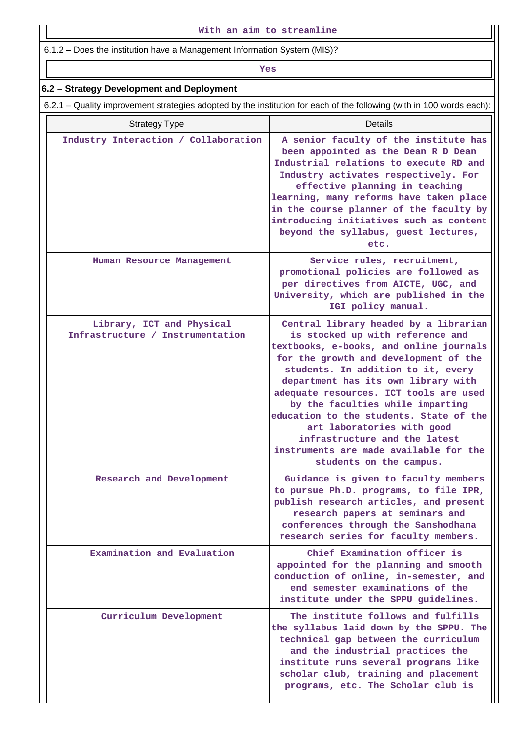6.1.2 – Does the institution have a Management Information System (MIS)?

## *Yes*

## **6.2 – Strategy Development and Deployment**

6.2.1 – Quality improvement strategies adopted by the institution for each of the following (with in 100 words each):

| <b>Strategy Type</b>                                          | Details                                                                                                                                                                                                                                                                                                                                                                                                                                                                                                 |
|---------------------------------------------------------------|---------------------------------------------------------------------------------------------------------------------------------------------------------------------------------------------------------------------------------------------------------------------------------------------------------------------------------------------------------------------------------------------------------------------------------------------------------------------------------------------------------|
| Industry Interaction / Collaboration                          | A senior faculty of the institute has<br>been appointed as the Dean R D Dean<br>Industrial relations to execute RD and<br>Industry activates respectively. For<br>effective planning in teaching<br>learning, many reforms have taken place<br>in the course planner of the faculty by<br>introducing initiatives such as content<br>beyond the syllabus, guest lectures,<br>etc.                                                                                                                       |
| Human Resource Management                                     | Service rules, recruitment,<br>promotional policies are followed as<br>per directives from AICTE, UGC, and<br>University, which are published in the<br>IGI policy manual.                                                                                                                                                                                                                                                                                                                              |
| Library, ICT and Physical<br>Infrastructure / Instrumentation | Central library headed by a librarian<br>is stocked up with reference and<br>textbooks, e-books, and online journals<br>for the growth and development of the<br>students. In addition to it, every<br>department has its own library with<br>adequate resources. ICT tools are used<br>by the faculties while imparting<br>education to the students. State of the<br>art laboratories with good<br>infrastructure and the latest<br>instruments are made available for the<br>students on the campus. |
| Research and Development                                      | Guidance is given to faculty members<br>to pursue Ph.D. programs, to file IPR,<br>publish research articles, and present<br>research papers at seminars and<br>conferences through the Sanshodhana<br>research series for faculty members.                                                                                                                                                                                                                                                              |
| Examination and Evaluation                                    | Chief Examination officer is<br>appointed for the planning and smooth<br>conduction of online, in-semester, and<br>end semester examinations of the<br>institute under the SPPU guidelines.                                                                                                                                                                                                                                                                                                             |
| Curriculum Development                                        | The institute follows and fulfills<br>the syllabus laid down by the SPPU. The<br>technical gap between the curriculum<br>and the industrial practices the<br>institute runs several programs like<br>scholar club, training and placement<br>programs, etc. The Scholar club is                                                                                                                                                                                                                         |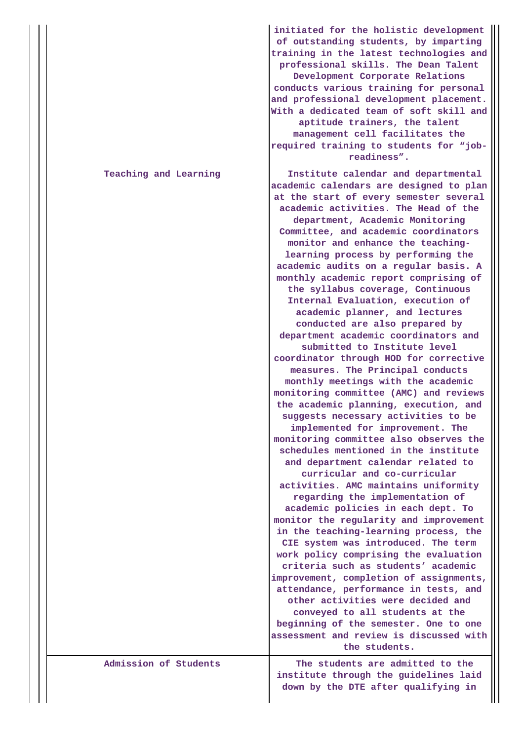|  |                       | initiated for the holistic development<br>of outstanding students, by imparting<br>training in the latest technologies and<br>professional skills. The Dean Talent<br>Development Corporate Relations<br>conducts various training for personal<br>and professional development placement.<br>With a dedicated team of soft skill and<br>aptitude trainers, the talent<br>management cell facilitates the<br>required training to students for "job-<br>readiness".                                                                                                                                                                                                                                                                                                                                                                                                                                                                                                                                                                                                                                                                                                                                                                                                                                                                                                                                                                                                                                                                                                                                                                                 |
|--|-----------------------|-----------------------------------------------------------------------------------------------------------------------------------------------------------------------------------------------------------------------------------------------------------------------------------------------------------------------------------------------------------------------------------------------------------------------------------------------------------------------------------------------------------------------------------------------------------------------------------------------------------------------------------------------------------------------------------------------------------------------------------------------------------------------------------------------------------------------------------------------------------------------------------------------------------------------------------------------------------------------------------------------------------------------------------------------------------------------------------------------------------------------------------------------------------------------------------------------------------------------------------------------------------------------------------------------------------------------------------------------------------------------------------------------------------------------------------------------------------------------------------------------------------------------------------------------------------------------------------------------------------------------------------------------------|
|  | Teaching and Learning | Institute calendar and departmental<br>academic calendars are designed to plan<br>at the start of every semester several<br>academic activities. The Head of the<br>department, Academic Monitoring<br>Committee, and academic coordinators<br>monitor and enhance the teaching-<br>learning process by performing the<br>academic audits on a regular basis. A<br>monthly academic report comprising of<br>the syllabus coverage, Continuous<br>Internal Evaluation, execution of<br>academic planner, and lectures<br>conducted are also prepared by<br>department academic coordinators and<br>submitted to Institute level<br>coordinator through HOD for corrective<br>measures. The Principal conducts<br>monthly meetings with the academic<br>monitoring committee (AMC) and reviews<br>the academic planning, execution, and<br>suggests necessary activities to be<br>implemented for improvement. The<br>monitoring committee also observes the<br>schedules mentioned in the institute<br>and department calendar related to<br>curricular and co-curricular<br>activities. AMC maintains uniformity<br>regarding the implementation of<br>academic policies in each dept. To<br>monitor the regularity and improvement<br>in the teaching-learning process, the<br>CIE system was introduced. The term<br>work policy comprising the evaluation<br>criteria such as students' academic<br>improvement, completion of assignments,<br>attendance, performance in tests, and<br>other activities were decided and<br>conveyed to all students at the<br>beginning of the semester. One to one<br>assessment and review is discussed with |
|  | Admission of Students | the students.<br>The students are admitted to the                                                                                                                                                                                                                                                                                                                                                                                                                                                                                                                                                                                                                                                                                                                                                                                                                                                                                                                                                                                                                                                                                                                                                                                                                                                                                                                                                                                                                                                                                                                                                                                                   |
|  |                       | institute through the guidelines laid<br>down by the DTE after qualifying in                                                                                                                                                                                                                                                                                                                                                                                                                                                                                                                                                                                                                                                                                                                                                                                                                                                                                                                                                                                                                                                                                                                                                                                                                                                                                                                                                                                                                                                                                                                                                                        |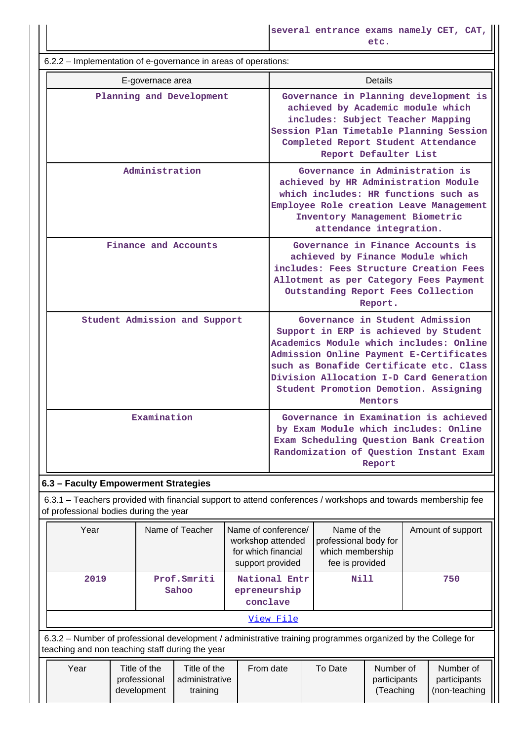6.2.2 – Implementation of e-governance in areas of operations: E-governace area **Details** Planning and Development | Governance in Planning development is **achieved by Academic module which includes: Subject Teacher Mapping Session Plan Timetable Planning Session Completed Report Student Attendance Report Defaulter List Administration Governance in Administration is achieved by HR Administration Module which includes: HR functions such as Employee Role creation Leave Management Inventory Management Biometric attendance integration. Finance and Accounts Governance in Finance Accounts is achieved by Finance Module which includes: Fees Structure Creation Fees Allotment as per Category Fees Payment Outstanding Report Fees Collection Report. Student Admission and Support Governance in Student Admission Support in ERP is achieved by Student Academics Module which includes: Online Admission Online Payment E-Certificates such as Bonafide Certificate etc. Class Division Allocation I-D Card Generation Student Promotion Demotion. Assigning Mentors Examination Governance in Examination is achieved by Exam Module which includes: Online Exam Scheduling Question Bank Creation Randomization of Question Instant Exam Report**

## **6.3 – Faculty Empowerment Strategies**

 6.3.1 – Teachers provided with financial support to attend conferences / workshops and towards membership fee of professional bodies during the year

| Year                                                                                                                                                            | Name of Teacher      | Name of conference/<br>workshop attended<br>for which financial<br>support provided | Name of the<br>professional body for<br>which membership<br>fee is provided | Amount of support |  |  |  |  |  |
|-----------------------------------------------------------------------------------------------------------------------------------------------------------------|----------------------|-------------------------------------------------------------------------------------|-----------------------------------------------------------------------------|-------------------|--|--|--|--|--|
| 2019                                                                                                                                                            | Prof.Smriti<br>Sahoo | National Entr<br>epreneurship<br>conclave                                           | <b>Nill</b>                                                                 | 750               |  |  |  |  |  |
| View File                                                                                                                                                       |                      |                                                                                     |                                                                             |                   |  |  |  |  |  |
| 6.3.2 – Number of professional development / administrative training programmes organized by the College for<br>teaching and non teaching staff during the year |                      |                                                                                     |                                                                             |                   |  |  |  |  |  |

| Year | Title of the<br>professional<br>development | Title of the<br>l administrative<br>training | From date | To Date | Number of<br>participants<br>Teaching | Number of<br>participants<br>(non-teaching |
|------|---------------------------------------------|----------------------------------------------|-----------|---------|---------------------------------------|--------------------------------------------|
|      |                                             |                                              |           |         |                                       |                                            |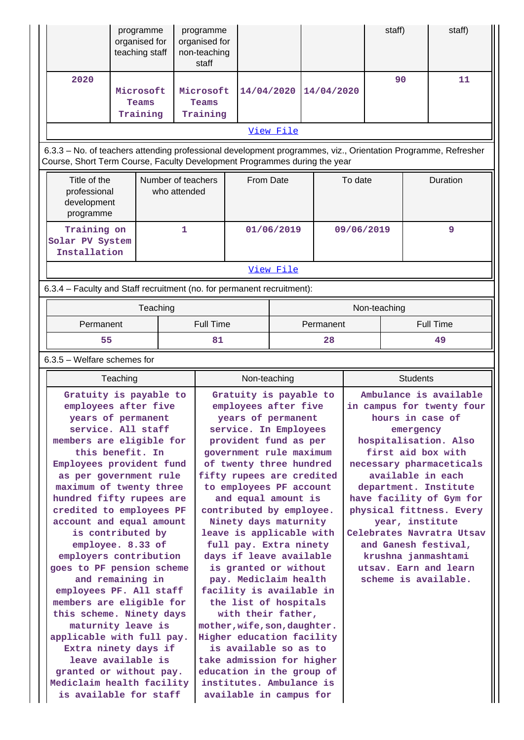|                                                                                                                                                                                            |          | programme<br>organised for<br>teaching staff |                                    | programme<br>organised for<br>non-teaching<br>staff |                                                           |            |            |            | staff)       |                 | staff)                                       |
|--------------------------------------------------------------------------------------------------------------------------------------------------------------------------------------------|----------|----------------------------------------------|------------------------------------|-----------------------------------------------------|-----------------------------------------------------------|------------|------------|------------|--------------|-----------------|----------------------------------------------|
| 2020                                                                                                                                                                                       |          | Microsoft<br>Teams<br>Training               |                                    | Microsoft<br>Teams<br>Training                      | 14/04/2020                                                |            | 14/04/2020 |            |              | 90              | 11                                           |
|                                                                                                                                                                                            |          |                                              |                                    |                                                     |                                                           | View File  |            |            |              |                 |                                              |
| 6.3.3 - No. of teachers attending professional development programmes, viz., Orientation Programme, Refresher<br>Course, Short Term Course, Faculty Development Programmes during the year |          |                                              |                                    |                                                     |                                                           |            |            |            |              |                 |                                              |
| Title of the<br>professional<br>development<br>programme                                                                                                                                   |          |                                              | Number of teachers<br>who attended |                                                     | From Date                                                 |            | To date    |            |              | Duration        |                                              |
| Training on<br>Solar PV System<br>Installation                                                                                                                                             |          |                                              | 1                                  |                                                     |                                                           | 01/06/2019 |            | 09/06/2019 |              |                 | 9                                            |
|                                                                                                                                                                                            |          |                                              |                                    |                                                     |                                                           | View File  |            |            |              |                 |                                              |
| 6.3.4 - Faculty and Staff recruitment (no. for permanent recruitment):                                                                                                                     |          |                                              |                                    |                                                     |                                                           |            |            |            |              |                 |                                              |
|                                                                                                                                                                                            |          | Teaching                                     |                                    |                                                     |                                                           |            |            |            | Non-teaching |                 |                                              |
| Permanent                                                                                                                                                                                  |          |                                              |                                    | <b>Full Time</b>                                    |                                                           |            | Permanent  |            |              |                 | <b>Full Time</b>                             |
| 55                                                                                                                                                                                         |          |                                              |                                    | 81                                                  |                                                           |            | 28         | 49         |              |                 |                                              |
| $6.3.5$ – Welfare schemes for                                                                                                                                                              |          |                                              |                                    |                                                     |                                                           |            |            |            |              |                 |                                              |
|                                                                                                                                                                                            |          |                                              |                                    |                                                     |                                                           |            |            |            |              |                 |                                              |
|                                                                                                                                                                                            | Teaching |                                              |                                    |                                                     | Non-teaching                                              |            |            |            |              | <b>Students</b> |                                              |
| Gratuity is payable to                                                                                                                                                                     |          |                                              |                                    |                                                     | Gratuity is payable to                                    |            |            |            |              |                 | Ambulance is available                       |
| employees after five                                                                                                                                                                       |          |                                              |                                    |                                                     | employees after five                                      |            |            |            |              |                 | in campus for twenty four                    |
| years of permanent<br>service. All staff                                                                                                                                                   |          |                                              |                                    |                                                     | years of permanent                                        |            |            |            |              | emergency       | hours in case of                             |
| members are eligible for                                                                                                                                                                   |          |                                              |                                    |                                                     | service. In Employees<br>provident fund as per            |            |            |            |              |                 | hospitalisation. Also                        |
| this benefit. In                                                                                                                                                                           |          |                                              |                                    |                                                     | government rule maximum                                   |            |            |            |              |                 | first aid box with                           |
| Employees provident fund                                                                                                                                                                   |          |                                              |                                    |                                                     | of twenty three hundred                                   |            |            |            |              |                 | necessary pharmaceticals                     |
| as per government rule<br>maximum of twenty three                                                                                                                                          |          |                                              |                                    |                                                     | fifty rupees are credited<br>to employees PF account      |            |            |            |              |                 | available in each<br>department. Institute   |
| hundred fifty rupees are                                                                                                                                                                   |          |                                              |                                    |                                                     | and equal amount is                                       |            |            |            |              |                 | have facility of Gym for                     |
| credited to employees PF                                                                                                                                                                   |          |                                              |                                    |                                                     | contributed by employee.                                  |            |            |            |              |                 | physical fittness. Every                     |
| account and equal amount<br>is contributed by                                                                                                                                              |          |                                              |                                    |                                                     | Ninety days maturnity                                     |            |            |            |              |                 | year, institute<br>Celebrates Navratra Utsav |
| employee. 8.33 of                                                                                                                                                                          |          |                                              |                                    |                                                     | leave is applicable with<br>full pay. Extra ninety        |            |            |            |              |                 | and Ganesh festival,                         |
| employers contribution                                                                                                                                                                     |          |                                              |                                    |                                                     | days if leave available                                   |            |            |            |              |                 | krushna janmashtami                          |
| goes to PF pension scheme                                                                                                                                                                  |          |                                              |                                    |                                                     | is granted or without                                     |            |            |            |              |                 | utsav. Earn and learn                        |
| and remaining in<br>employees PF. All staff                                                                                                                                                |          |                                              |                                    |                                                     | pay. Mediclaim health<br>facility is available in         |            |            |            |              |                 | scheme is available.                         |
| members are eligible for                                                                                                                                                                   |          |                                              |                                    |                                                     | the list of hospitals                                     |            |            |            |              |                 |                                              |
| this scheme. Ninety days                                                                                                                                                                   |          |                                              |                                    |                                                     | with their father,                                        |            |            |            |              |                 |                                              |
| maturnity leave is<br>applicable with full pay.                                                                                                                                            |          |                                              |                                    |                                                     | mother, wife, son, daughter.<br>Higher education facility |            |            |            |              |                 |                                              |
| Extra ninety days if                                                                                                                                                                       |          |                                              |                                    |                                                     | is available so as to                                     |            |            |            |              |                 |                                              |
| leave available is                                                                                                                                                                         |          |                                              |                                    |                                                     | take admission for higher                                 |            |            |            |              |                 |                                              |
| granted or without pay.<br>Mediclaim health facility                                                                                                                                       |          |                                              |                                    |                                                     | education in the group of<br>institutes. Ambulance is     |            |            |            |              |                 |                                              |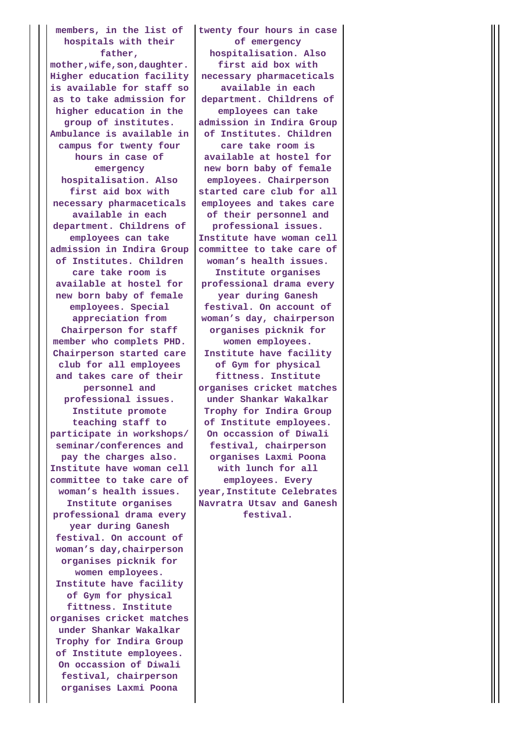**members, in the list of hospitals with their father,**

**mother,wife,son,daughter. Higher education facility is available for staff so as to take admission for higher education in the group of institutes. Ambulance is available in campus for twenty four hours in case of emergency hospitalisation. Also first aid box with necessary pharmaceticals available in each department. Childrens of employees can take admission in Indira Group of Institutes. Children care take room is available at hostel for new born baby of female employees. Special appreciation from Chairperson for staff member who complets PHD. Chairperson started care club for all employees and takes care of their personnel and professional issues. Institute promote teaching staff to participate in workshops/ seminar/conferences and pay the charges also. Institute have woman cell committee to take care of woman's health issues. Institute organises professional drama every year during Ganesh festival. On account of woman's day,chairperson organises picknik for women employees. Institute have facility of Gym for physical fittness. Institute organises cricket matches under Shankar Wakalkar Trophy for Indira Group of Institute employees. On occassion of Diwali festival, chairperson organises Laxmi Poona**

**twenty four hours in case of emergency hospitalisation. Also first aid box with necessary pharmaceticals available in each department. Childrens of employees can take admission in Indira Group of Institutes. Children care take room is available at hostel for new born baby of female employees. Chairperson started care club for all employees and takes care of their personnel and professional issues. Institute have woman cell committee to take care of woman's health issues. Institute organises professional drama every year during Ganesh festival. On account of woman's day, chairperson organises picknik for women employees. Institute have facility of Gym for physical fittness. Institute organises cricket matches under Shankar Wakalkar Trophy for Indira Group of Institute employees. On occassion of Diwali festival, chairperson organises Laxmi Poona with lunch for all employees. Every year,Institute Celebrates Navratra Utsav and Ganesh festival.**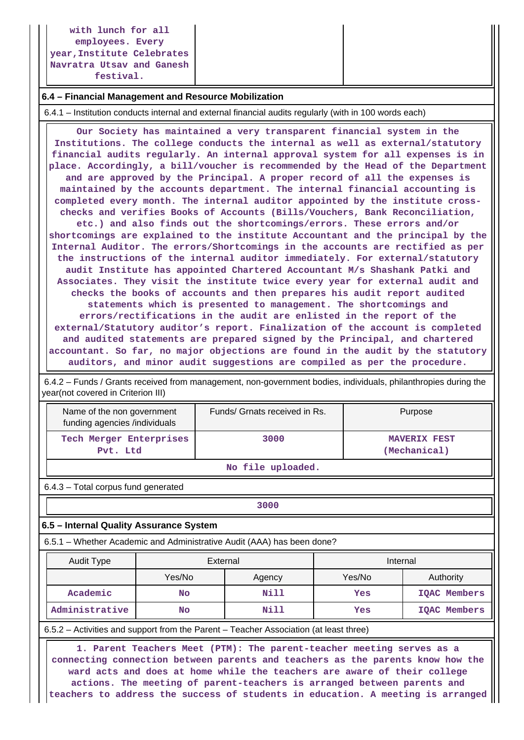**with lunch for all employees. Every year,Institute Celebrates Navratra Utsav and Ganesh festival.**

#### **6.4 – Financial Management and Resource Mobilization**

6.4.1 – Institution conducts internal and external financial audits regularly (with in 100 words each)

 **Our Society has maintained a very transparent financial system in the Institutions. The college conducts the internal as well as external/statutory financial audits regularly. An internal approval system for all expenses is in place. Accordingly, a bill/voucher is recommended by the Head of the Department and are approved by the Principal. A proper record of all the expenses is maintained by the accounts department. The internal financial accounting is completed every month. The internal auditor appointed by the institute crosschecks and verifies Books of Accounts (Bills/Vouchers, Bank Reconciliation, etc.) and also finds out the shortcomings/errors. These errors and/or shortcomings are explained to the institute Accountant and the principal by the Internal Auditor. The errors/Shortcomings in the accounts are rectified as per the instructions of the internal auditor immediately. For external/statutory audit Institute has appointed Chartered Accountant M/s Shashank Patki and Associates. They visit the institute twice every year for external audit and checks the books of accounts and then prepares his audit report audited statements which is presented to management. The shortcomings and errors/rectifications in the audit are enlisted in the report of the external/Statutory auditor's report. Finalization of the account is completed and audited statements are prepared signed by the Principal, and chartered accountant. So far, no major objections are found in the audit by the statutory auditors, and minor audit suggestions are compiled as per the procedure.**

 6.4.2 – Funds / Grants received from management, non-government bodies, individuals, philanthropies during the year(not covered in Criterion III)

| Name of the non government<br>funding agencies /individuals | Funds/ Grnats received in Rs. | Purpose                             |  |  |  |  |
|-------------------------------------------------------------|-------------------------------|-------------------------------------|--|--|--|--|
| Tech Merger Enterprises<br>Pvt. Ltd                         | 3000                          | <b>MAVERIX FEST</b><br>(Mechanical) |  |  |  |  |
| No file uploaded.                                           |                               |                                     |  |  |  |  |

6.4.3 – Total corpus fund generated

**1 3000** 

## **6.5 – Internal Quality Assurance System**

6.5.1 – Whether Academic and Administrative Audit (AAA) has been done?

| Audit Type           | External |        | Internal |                     |  |
|----------------------|----------|--------|----------|---------------------|--|
|                      | Yes/No   | Agency | Yes/No   | Authority           |  |
| Academic             | No       | Nill   | Yes      | IQAC Members        |  |
| Administrative<br>No |          | Nill   | Yes      | <b>IQAC Members</b> |  |

6.5.2 – Activities and support from the Parent – Teacher Association (at least three)

 **1. Parent Teachers Meet (PTM): The parent-teacher meeting serves as a connecting connection between parents and teachers as the parents know how the ward acts and does at home while the teachers are aware of their college actions. The meeting of parent-teachers is arranged between parents and teachers to address the success of students in education. A meeting is arranged**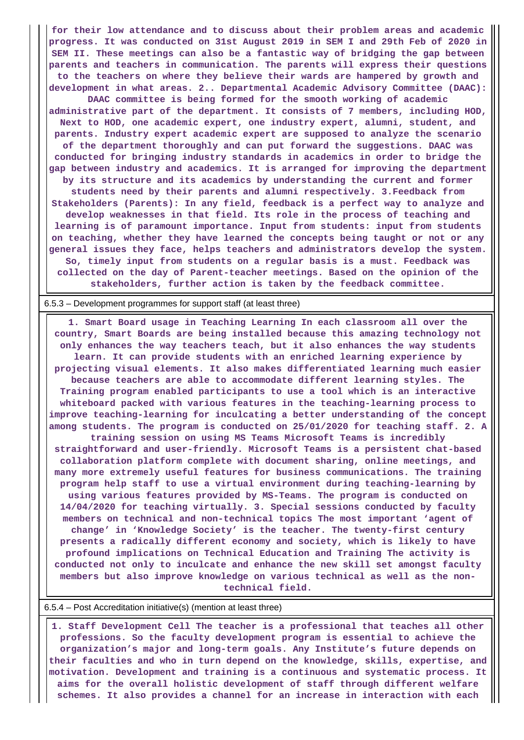**for their low attendance and to discuss about their problem areas and academic progress. It was conducted on 31st August 2019 in SEM I and 29th Feb of 2020 in SEM II. These meetings can also be a fantastic way of bridging the gap between parents and teachers in communication. The parents will express their questions to the teachers on where they believe their wards are hampered by growth and development in what areas. 2.. Departmental Academic Advisory Committee (DAAC):**

**DAAC committee is being formed for the smooth working of academic administrative part of the department. It consists of 7 members, including HOD, Next to HOD, one academic expert, one industry expert, alumni, student, and parents. Industry expert academic expert are supposed to analyze the scenario of the department thoroughly and can put forward the suggestions. DAAC was conducted for bringing industry standards in academics in order to bridge the gap between industry and academics. It is arranged for improving the department by its structure and its academics by understanding the current and former students need by their parents and alumni respectively. 3.Feedback from Stakeholders (Parents): In any field, feedback is a perfect way to analyze and develop weaknesses in that field. Its role in the process of teaching and learning is of paramount importance. Input from students: input from students on teaching, whether they have learned the concepts being taught or not or any**

**general issues they face, helps teachers and administrators develop the system. So, timely input from students on a regular basis is a must. Feedback was collected on the day of Parent-teacher meetings. Based on the opinion of the stakeholders, further action is taken by the feedback committee.**

#### 6.5.3 – Development programmes for support staff (at least three)

 **1. Smart Board usage in Teaching Learning In each classroom all over the country, Smart Boards are being installed because this amazing technology not only enhances the way teachers teach, but it also enhances the way students learn. It can provide students with an enriched learning experience by projecting visual elements. It also makes differentiated learning much easier because teachers are able to accommodate different learning styles. The Training program enabled participants to use a tool which is an interactive whiteboard packed with various features in the teaching-learning process to improve teaching-learning for inculcating a better understanding of the concept among students. The program is conducted on 25/01/2020 for teaching staff. 2. A training session on using MS Teams Microsoft Teams is incredibly straightforward and user-friendly. Microsoft Teams is a persistent chat-based collaboration platform complete with document sharing, online meetings, and**

**many more extremely useful features for business communications. The training program help staff to use a virtual environment during teaching-learning by using various features provided by MS-Teams. The program is conducted on 14/04/2020 for teaching virtually. 3. Special sessions conducted by faculty members on technical and non-technical topics The most important 'agent of change' in 'Knowledge Society' is the teacher. The twenty-first century presents a radically different economy and society, which is likely to have profound implications on Technical Education and Training The activity is conducted not only to inculcate and enhance the new skill set amongst faculty members but also improve knowledge on various technical as well as the nontechnical field.**

#### 6.5.4 – Post Accreditation initiative(s) (mention at least three)

 **1. Staff Development Cell The teacher is a professional that teaches all other professions. So the faculty development program is essential to achieve the organization's major and long-term goals. Any Institute's future depends on their faculties and who in turn depend on the knowledge, skills, expertise, and motivation. Development and training is a continuous and systematic process. It aims for the overall holistic development of staff through different welfare schemes. It also provides a channel for an increase in interaction with each**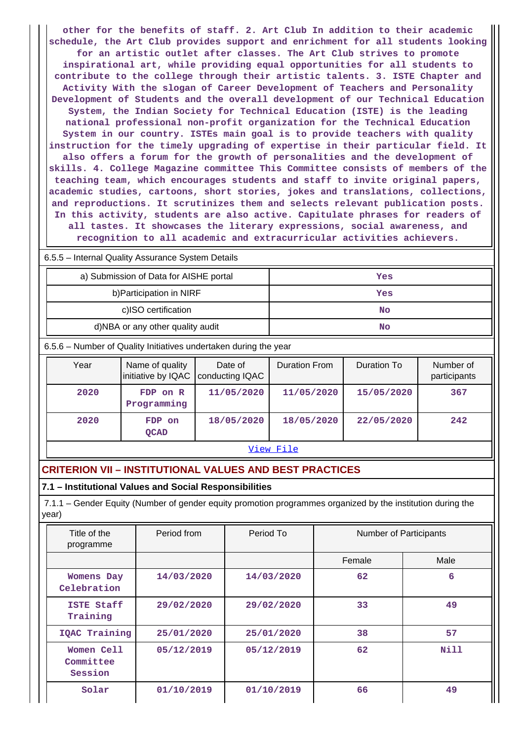**other for the benefits of staff. 2. Art Club In addition to their academic schedule, the Art Club provides support and enrichment for all students looking for an artistic outlet after classes. The Art Club strives to promote inspirational art, while providing equal opportunities for all students to contribute to the college through their artistic talents. 3. ISTE Chapter and Activity With the slogan of Career Development of Teachers and Personality Development of Students and the overall development of our Technical Education System, the Indian Society for Technical Education (ISTE) is the leading national professional non-profit organization for the Technical Education System in our country. ISTEs main goal is to provide teachers with quality instruction for the timely upgrading of expertise in their particular field. It also offers a forum for the growth of personalities and the development of skills. 4. College Magazine committee This Committee consists of members of the teaching team, which encourages students and staff to invite original papers, academic studies, cartoons, short stories, jokes and translations, collections, and reproductions. It scrutinizes them and selects relevant publication posts. In this activity, students are also active. Capitulate phrases for readers of all tastes. It showcases the literary expressions, social awareness, and recognition to all academic and extracurricular activities achievers.**

|                                                                  | 6.5.5 - Internal Quality Assurance System Details |                                                         |         |                      |             |                           |  |  |  |
|------------------------------------------------------------------|---------------------------------------------------|---------------------------------------------------------|---------|----------------------|-------------|---------------------------|--|--|--|
|                                                                  |                                                   | a) Submission of Data for AISHE portal                  |         | Yes                  |             |                           |  |  |  |
|                                                                  |                                                   | b) Participation in NIRF                                |         | Yes                  |             |                           |  |  |  |
|                                                                  |                                                   | c)ISO certification                                     |         |                      | No          |                           |  |  |  |
|                                                                  |                                                   | d)NBA or any other quality audit                        |         | No                   |             |                           |  |  |  |
| 6.5.6 – Number of Quality Initiatives undertaken during the year |                                                   |                                                         |         |                      |             |                           |  |  |  |
|                                                                  | Year                                              | Name of quality<br>initiative by IQAC   conducting IQAC | Date of | <b>Duration From</b> | Duration To | Number of<br>participants |  |  |  |

|      | initiative by IQAC   conducting IQAC |            |            |            | participants |
|------|--------------------------------------|------------|------------|------------|--------------|
| 2020 | FDP on R<br>Programming              | 11/05/2020 | 11/05/2020 | 15/05/2020 | 367          |
| 2020 | FDP on<br><b>OCAD</b>                | 18/05/2020 | 18/05/2020 | 22/05/2020 | 242          |

#### [View File](https://assessmentonline.naac.gov.in/public/Postacc/Quality_Initiatives_B/6738_Quality_Initiatives_B_1602843208.xlsx)

#### **CRITERION VII – INSTITUTIONAL VALUES AND BEST PRACTICES**

#### **7.1 – Institutional Values and Social Responsibilities**

 7.1.1 – Gender Equity (Number of gender equity promotion programmes organized by the institution during the year)

| Title of the<br>programme          | Period from | Period To  | <b>Number of Participants</b> |             |
|------------------------------------|-------------|------------|-------------------------------|-------------|
|                                    |             |            | Female                        | Male        |
| <b>Womens Day</b><br>Celebration   | 14/03/2020  | 14/03/2020 | 62                            | 6           |
| ISTE Staff<br>Training             | 29/02/2020  | 29/02/2020 | 33                            | 49          |
| IQAC Training                      | 25/01/2020  | 25/01/2020 | 38                            | 57          |
| Women Cell<br>Committee<br>Session | 05/12/2019  | 05/12/2019 | 62                            | <b>Nill</b> |
| Solar                              | 01/10/2019  | 01/10/2019 | 66                            | 49          |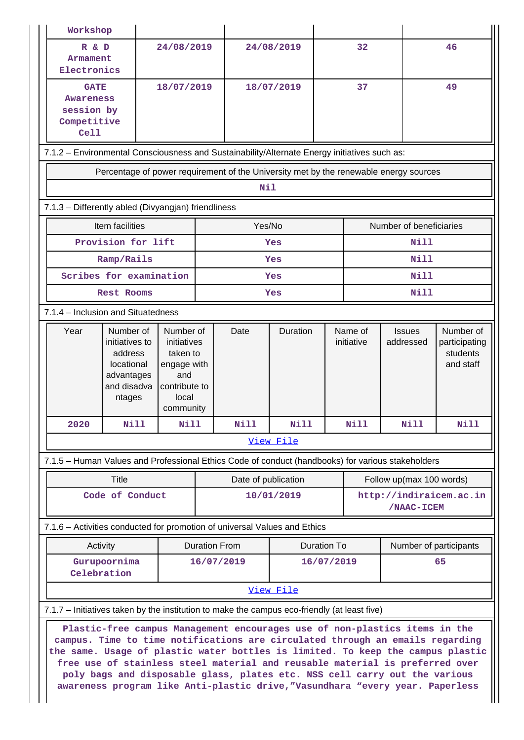| Workshop                                                                                                                                                                                                                                                                                                                                                                                                                                                                                      |                                                                                              |                                                                                                   |                                            |            |                                       |                         |                        |                                                                                       |                                                     |  |
|-----------------------------------------------------------------------------------------------------------------------------------------------------------------------------------------------------------------------------------------------------------------------------------------------------------------------------------------------------------------------------------------------------------------------------------------------------------------------------------------------|----------------------------------------------------------------------------------------------|---------------------------------------------------------------------------------------------------|--------------------------------------------|------------|---------------------------------------|-------------------------|------------------------|---------------------------------------------------------------------------------------|-----------------------------------------------------|--|
| R & D<br>Armament<br>Electronics                                                                                                                                                                                                                                                                                                                                                                                                                                                              |                                                                                              | 24/08/2019                                                                                        |                                            | 24/08/2019 |                                       |                         | 32                     |                                                                                       | 46                                                  |  |
| <b>GATE</b><br><b>Awareness</b><br>session by<br>Competitive<br>Ce11                                                                                                                                                                                                                                                                                                                                                                                                                          |                                                                                              | 18/07/2019                                                                                        |                                            |            | 18/07/2019                            | 37                      |                        |                                                                                       | 49                                                  |  |
|                                                                                                                                                                                                                                                                                                                                                                                                                                                                                               | 7.1.2 - Environmental Consciousness and Sustainability/Alternate Energy initiatives such as: |                                                                                                   |                                            |            |                                       |                         |                        |                                                                                       |                                                     |  |
|                                                                                                                                                                                                                                                                                                                                                                                                                                                                                               |                                                                                              |                                                                                                   |                                            |            |                                       |                         |                        | Percentage of power requirement of the University met by the renewable energy sources |                                                     |  |
|                                                                                                                                                                                                                                                                                                                                                                                                                                                                                               |                                                                                              |                                                                                                   |                                            | <b>Nil</b> |                                       |                         |                        |                                                                                       |                                                     |  |
| 7.1.3 - Differently abled (Divyangjan) friendliness                                                                                                                                                                                                                                                                                                                                                                                                                                           |                                                                                              |                                                                                                   |                                            |            |                                       |                         |                        |                                                                                       |                                                     |  |
|                                                                                                                                                                                                                                                                                                                                                                                                                                                                                               | Item facilities                                                                              |                                                                                                   | Yes/No                                     |            |                                       | Number of beneficiaries |                        |                                                                                       |                                                     |  |
|                                                                                                                                                                                                                                                                                                                                                                                                                                                                                               | Provision for lift                                                                           |                                                                                                   | Yes                                        |            |                                       | <b>Nill</b>             |                        |                                                                                       |                                                     |  |
|                                                                                                                                                                                                                                                                                                                                                                                                                                                                                               | Ramp/Rails                                                                                   |                                                                                                   |                                            | Yes        |                                       |                         | Nill                   |                                                                                       |                                                     |  |
|                                                                                                                                                                                                                                                                                                                                                                                                                                                                                               | Scribes for examination                                                                      |                                                                                                   |                                            | Yes        |                                       |                         | Nill                   |                                                                                       |                                                     |  |
| Rest Rooms                                                                                                                                                                                                                                                                                                                                                                                                                                                                                    |                                                                                              |                                                                                                   | Yes                                        |            |                                       | <b>Nill</b>             |                        |                                                                                       |                                                     |  |
| 7.1.4 - Inclusion and Situatedness                                                                                                                                                                                                                                                                                                                                                                                                                                                            |                                                                                              |                                                                                                   |                                            |            |                                       |                         |                        |                                                                                       |                                                     |  |
| Year                                                                                                                                                                                                                                                                                                                                                                                                                                                                                          | Number of<br>initiatives to<br>address<br>locational<br>advantages<br>and disadva<br>ntages  | Number of<br>initiatives<br>taken to<br>engage with<br>and<br>contribute to<br>local<br>community |                                            | Date       | <b>Duration</b>                       |                         | Name of<br>initiative  | <b>Issues</b><br>addressed                                                            | Number of<br>participating<br>students<br>and staff |  |
| 2020                                                                                                                                                                                                                                                                                                                                                                                                                                                                                          | Nill                                                                                         | Nill                                                                                              |                                            | Nill       | Nill                                  |                         | Nill                   | Nill                                                                                  | <b>Nill</b>                                         |  |
|                                                                                                                                                                                                                                                                                                                                                                                                                                                                                               |                                                                                              |                                                                                                   |                                            |            | View File                             |                         |                        |                                                                                       |                                                     |  |
| 7.1.5 - Human Values and Professional Ethics Code of conduct (handbooks) for various stakeholders                                                                                                                                                                                                                                                                                                                                                                                             |                                                                                              |                                                                                                   |                                            |            |                                       |                         |                        |                                                                                       |                                                     |  |
|                                                                                                                                                                                                                                                                                                                                                                                                                                                                                               | Title                                                                                        |                                                                                                   | Date of publication                        |            | Follow up(max 100 words)              |                         |                        |                                                                                       |                                                     |  |
|                                                                                                                                                                                                                                                                                                                                                                                                                                                                                               | Code of Conduct                                                                              |                                                                                                   | 10/01/2019                                 |            | http://indiraicem.ac.in<br>/NAAC-ICEM |                         |                        |                                                                                       |                                                     |  |
| 7.1.6 – Activities conducted for promotion of universal Values and Ethics                                                                                                                                                                                                                                                                                                                                                                                                                     |                                                                                              |                                                                                                   |                                            |            |                                       |                         |                        |                                                                                       |                                                     |  |
|                                                                                                                                                                                                                                                                                                                                                                                                                                                                                               | Activity                                                                                     |                                                                                                   | <b>Duration From</b><br><b>Duration To</b> |            |                                       |                         | Number of participants |                                                                                       |                                                     |  |
| Gurupoornima<br>Celebration                                                                                                                                                                                                                                                                                                                                                                                                                                                                   |                                                                                              | 16/07/2019                                                                                        |                                            |            | 16/07/2019                            |                         | 65                     |                                                                                       |                                                     |  |
| View File                                                                                                                                                                                                                                                                                                                                                                                                                                                                                     |                                                                                              |                                                                                                   |                                            |            |                                       |                         |                        |                                                                                       |                                                     |  |
| 7.1.7 – Initiatives taken by the institution to make the campus eco-friendly (at least five)                                                                                                                                                                                                                                                                                                                                                                                                  |                                                                                              |                                                                                                   |                                            |            |                                       |                         |                        |                                                                                       |                                                     |  |
| Plastic-free campus Management encourages use of non-plastics items in the<br>campus. Time to time notifications are circulated through an emails regarding<br>the same. Usage of plastic water bottles is limited. To keep the campus plastic<br>free use of stainless steel material and reusable material is preferred over<br>poly bags and disposable glass, plates etc. NSS cell carry out the various<br>awareness program like Anti-plastic drive, "Vasundhara "every year. Paperless |                                                                                              |                                                                                                   |                                            |            |                                       |                         |                        |                                                                                       |                                                     |  |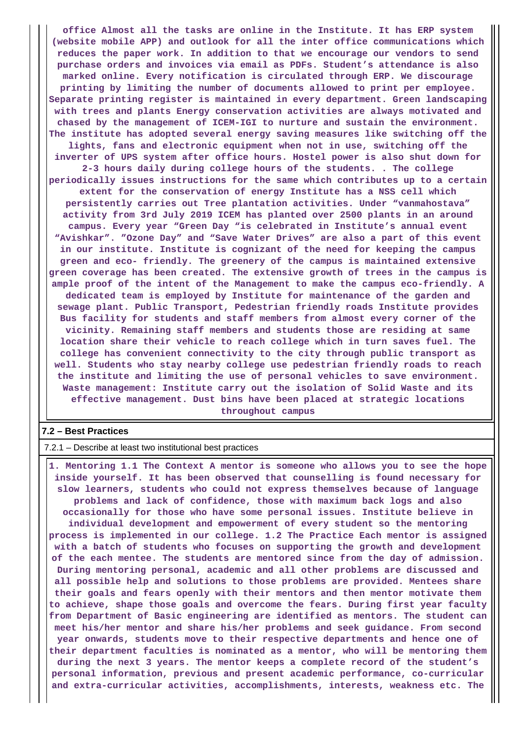**office Almost all the tasks are online in the Institute. It has ERP system (website mobile APP) and outlook for all the inter office communications which reduces the paper work. In addition to that we encourage our vendors to send purchase orders and invoices via email as PDFs. Student's attendance is also marked online. Every notification is circulated through ERP. We discourage printing by limiting the number of documents allowed to print per employee. Separate printing register is maintained in every department. Green landscaping with trees and plants Energy conservation activities are always motivated and chased by the management of ICEM-IGI to nurture and sustain the environment. The institute has adopted several energy saving measures like switching off the lights, fans and electronic equipment when not in use, switching off the inverter of UPS system after office hours. Hostel power is also shut down for 2-3 hours daily during college hours of the students. . The college periodically issues instructions for the same which contributes up to a certain extent for the conservation of energy Institute has a NSS cell which persistently carries out Tree plantation activities. Under "vanmahostava" activity from 3rd July 2019 ICEM has planted over 2500 plants in an around campus. Every year "Green Day "is celebrated in Institute's annual event "Avishkar". "Ozone Day" and "Save Water Drives" are also a part of this event in our institute. Institute is cognizant of the need for keeping the campus green and eco- friendly. The greenery of the campus is maintained extensive green coverage has been created. The extensive growth of trees in the campus is ample proof of the intent of the Management to make the campus eco-friendly. A dedicated team is employed by Institute for maintenance of the garden and sewage plant. Public Transport, Pedestrian friendly roads Institute provides Bus facility for students and staff members from almost every corner of the vicinity. Remaining staff members and students those are residing at same location share their vehicle to reach college which in turn saves fuel. The college has convenient connectivity to the city through public transport as well. Students who stay nearby college use pedestrian friendly roads to reach the institute and limiting the use of personal vehicles to save environment. Waste management: Institute carry out the isolation of Solid Waste and its effective management. Dust bins have been placed at strategic locations throughout campus**

## **7.2 – Best Practices**

7.2.1 – Describe at least two institutional best practices

 **1. Mentoring 1.1 The Context A mentor is someone who allows you to see the hope inside yourself. It has been observed that counselling is found necessary for slow learners, students who could not express themselves because of language problems and lack of confidence, those with maximum back logs and also occasionally for those who have some personal issues. Institute believe in individual development and empowerment of every student so the mentoring process is implemented in our college. 1.2 The Practice Each mentor is assigned with a batch of students who focuses on supporting the growth and development of the each mentee. The students are mentored since from the day of admission. During mentoring personal, academic and all other problems are discussed and all possible help and solutions to those problems are provided. Mentees share their goals and fears openly with their mentors and then mentor motivate them to achieve, shape those goals and overcome the fears. During first year faculty from Department of Basic engineering are identified as mentors. The student can meet his/her mentor and share his/her problems and seek guidance. From second year onwards, students move to their respective departments and hence one of their department faculties is nominated as a mentor, who will be mentoring them during the next 3 years. The mentor keeps a complete record of the student's personal information, previous and present academic performance, co-curricular and extra-curricular activities, accomplishments, interests, weakness etc. The**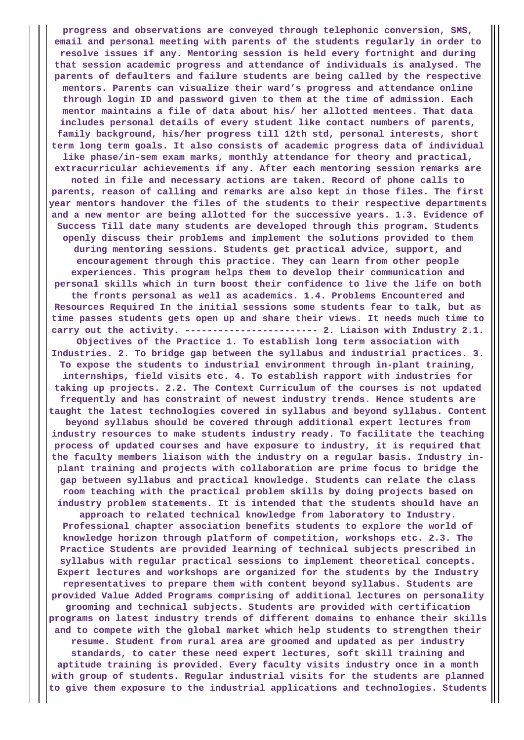**progress and observations are conveyed through telephonic conversion, SMS, email and personal meeting with parents of the students regularly in order to resolve issues if any. Mentoring session is held every fortnight and during that session academic progress and attendance of individuals is analysed. The parents of defaulters and failure students are being called by the respective mentors. Parents can visualize their ward's progress and attendance online through login ID and password given to them at the time of admission. Each mentor maintains a file of data about his/ her allotted mentees. That data includes personal details of every student like contact numbers of parents, family background, his/her progress till 12th std, personal interests, short term long term goals. It also consists of academic progress data of individual like phase/in-sem exam marks, monthly attendance for theory and practical, extracurricular achievements if any. After each mentoring session remarks are noted in file and necessary actions are taken. Record of phone calls to parents, reason of calling and remarks are also kept in those files. The first year mentors handover the files of the students to their respective departments and a new mentor are being allotted for the successive years. 1.3. Evidence of Success Till date many students are developed through this program. Students openly discuss their problems and implement the solutions provided to them during mentoring sessions. Students get practical advice, support, and encouragement through this practice. They can learn from other people experiences. This program helps them to develop their communication and personal skills which in turn boost their confidence to live the life on both the fronts personal as well as academics. 1.4. Problems Encountered and Resources Required In the initial sessions some students fear to talk, but as time passes students gets open up and share their views. It needs much time to carry out the activity. ------------------------ 2. Liaison with Industry 2.1. Objectives of the Practice 1. To establish long term association with Industries. 2. To bridge gap between the syllabus and industrial practices. 3. To expose the students to industrial environment through in-plant training, internships, field visits etc. 4. To establish rapport with industries for taking up projects. 2.2. The Context Curriculum of the courses is not updated frequently and has constraint of newest industry trends. Hence students are taught the latest technologies covered in syllabus and beyond syllabus. Content beyond syllabus should be covered through additional expert lectures from industry resources to make students industry ready. To facilitate the teaching process of updated courses and have exposure to industry, it is required that the faculty members liaison with the industry on a regular basis. Industry inplant training and projects with collaboration are prime focus to bridge the gap between syllabus and practical knowledge. Students can relate the class room teaching with the practical problem skills by doing projects based on industry problem statements. It is intended that the students should have an approach to related technical knowledge from laboratory to Industry. Professional chapter association benefits students to explore the world of knowledge horizon through platform of competition, workshops etc. 2.3. The Practice Students are provided learning of technical subjects prescribed in syllabus with regular practical sessions to implement theoretical concepts. Expert lectures and workshops are organized for the students by the Industry representatives to prepare them with content beyond syllabus. Students are provided Value Added Programs comprising of additional lectures on personality grooming and technical subjects. Students are provided with certification programs on latest industry trends of different domains to enhance their skills and to compete with the global market which help students to strengthen their resume. Student from rural area are groomed and updated as per industry standards, to cater these need expert lectures, soft skill training and aptitude training is provided. Every faculty visits industry once in a month with group of students. Regular industrial visits for the students are planned to give them exposure to the industrial applications and technologies. Students**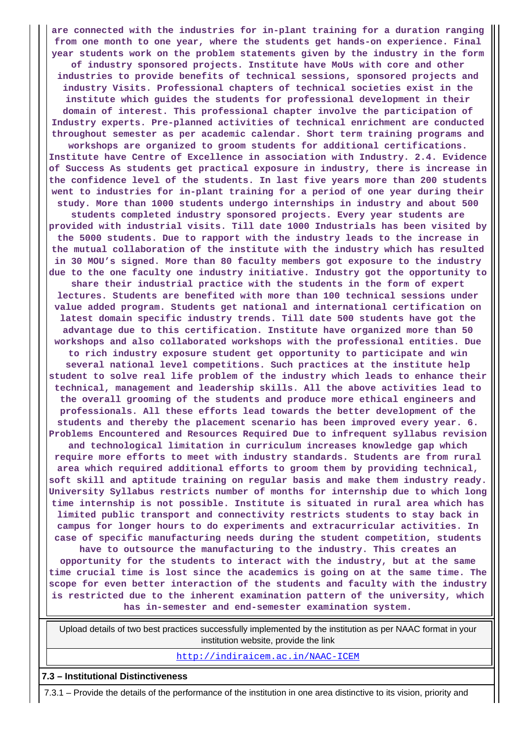**are connected with the industries for in-plant training for a duration ranging from one month to one year, where the students get hands-on experience. Final year students work on the problem statements given by the industry in the form of industry sponsored projects. Institute have MoUs with core and other industries to provide benefits of technical sessions, sponsored projects and industry Visits. Professional chapters of technical societies exist in the institute which guides the students for professional development in their domain of interest. This professional chapter involve the participation of Industry experts. Pre-planned activities of technical enrichment are conducted throughout semester as per academic calendar. Short term training programs and workshops are organized to groom students for additional certifications. Institute have Centre of Excellence in association with Industry. 2.4. Evidence of Success As students get practical exposure in industry, there is increase in the confidence level of the students. In last five years more than 200 students went to industries for in-plant training for a period of one year during their study. More than 1000 students undergo internships in industry and about 500 students completed industry sponsored projects. Every year students are provided with industrial visits. Till date 1000 Industrials has been visited by the 5000 students. Due to rapport with the industry leads to the increase in the mutual collaboration of the institute with the industry which has resulted in 30 MOU's signed. More than 80 faculty members got exposure to the industry due to the one faculty one industry initiative. Industry got the opportunity to share their industrial practice with the students in the form of expert lectures. Students are benefited with more than 100 technical sessions under value added program. Students get national and international certification on latest domain specific industry trends. Till date 500 students have got the advantage due to this certification. Institute have organized more than 50 workshops and also collaborated workshops with the professional entities. Due to rich industry exposure student get opportunity to participate and win several national level competitions. Such practices at the institute help student to solve real life problem of the industry which leads to enhance their technical, management and leadership skills. All the above activities lead to the overall grooming of the students and produce more ethical engineers and professionals. All these efforts lead towards the better development of the students and thereby the placement scenario has been improved every year. 6. Problems Encountered and Resources Required Due to infrequent syllabus revision and technological limitation in curriculum increases knowledge gap which require more efforts to meet with industry standards. Students are from rural area which required additional efforts to groom them by providing technical, soft skill and aptitude training on regular basis and make them industry ready. University Syllabus restricts number of months for internship due to which long time internship is not possible. Institute is situated in rural area which has limited public transport and connectivity restricts students to stay back in campus for longer hours to do experiments and extracurricular activities. In case of specific manufacturing needs during the student competition, students have to outsource the manufacturing to the industry. This creates an opportunity for the students to interact with the industry, but at the same time crucial time is lost since the academics is going on at the same time. The scope for even better interaction of the students and faculty with the industry is restricted due to the inherent examination pattern of the university, which has in-semester and end-semester examination system.**

 Upload details of two best practices successfully implemented by the institution as per NAAC format in your institution website, provide the link

<http://indiraicem.ac.in/NAAC-ICEM>

**7.3 – Institutional Distinctiveness**

7.3.1 – Provide the details of the performance of the institution in one area distinctive to its vision, priority and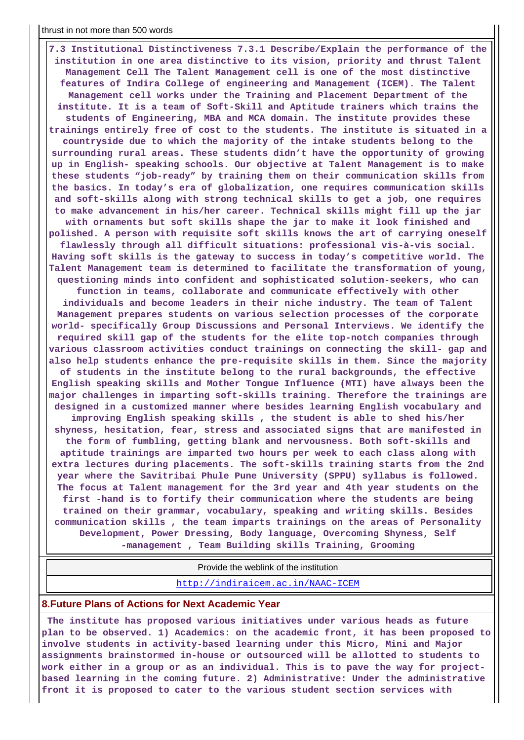**7.3 Institutional Distinctiveness 7.3.1 Describe/Explain the performance of the institution in one area distinctive to its vision, priority and thrust Talent Management Cell The Talent Management cell is one of the most distinctive features of Indira College of engineering and Management (ICEM). The Talent Management cell works under the Training and Placement Department of the institute. It is a team of Soft-Skill and Aptitude trainers which trains the students of Engineering, MBA and MCA domain. The institute provides these trainings entirely free of cost to the students. The institute is situated in a countryside due to which the majority of the intake students belong to the surrounding rural areas. These students didn't have the opportunity of growing up in English- speaking schools. Our objective at Talent Management is to make these students "job-ready" by training them on their communication skills from the basics. In today's era of globalization, one requires communication skills and soft-skills along with strong technical skills to get a job, one requires to make advancement in his/her career. Technical skills might fill up the jar with ornaments but soft skills shape the jar to make it look finished and polished. A person with requisite soft skills knows the art of carrying oneself flawlessly through all difficult situations: professional vis-à-vis social. Having soft skills is the gateway to success in today's competitive world. The Talent Management team is determined to facilitate the transformation of young, questioning minds into confident and sophisticated solution-seekers, who can function in teams, collaborate and communicate effectively with other individuals and become leaders in their niche industry. The team of Talent Management prepares students on various selection processes of the corporate world- specifically Group Discussions and Personal Interviews. We identify the required skill gap of the students for the elite top-notch companies through various classroom activities conduct trainings on connecting the skill- gap and also help students enhance the pre-requisite skills in them. Since the majority of students in the institute belong to the rural backgrounds, the effective English speaking skills and Mother Tongue Influence (MTI) have always been the major challenges in imparting soft-skills training. Therefore the trainings are designed in a customized manner where besides learning English vocabulary and improving English speaking skills , the student is able to shed his/her shyness, hesitation, fear, stress and associated signs that are manifested in the form of fumbling, getting blank and nervousness. Both soft-skills and aptitude trainings are imparted two hours per week to each class along with extra lectures during placements. The soft-skills training starts from the 2nd year where the Savitribai Phule Pune University (SPPU) syllabus is followed. The focus at Talent management for the 3rd year and 4th year students on the first -hand is to fortify their communication where the students are being trained on their grammar, vocabulary, speaking and writing skills. Besides communication skills , the team imparts trainings on the areas of Personality Development, Power Dressing, Body language, Overcoming Shyness, Self -management , Team Building skills Training, Grooming**

Provide the weblink of the institution

<http://indiraicem.ac.in/NAAC-ICEM>

#### **8.Future Plans of Actions for Next Academic Year**

 **The institute has proposed various initiatives under various heads as future plan to be observed. 1) Academics: on the academic front, it has been proposed to involve students in activity-based learning under this Micro, Mini and Major assignments brainstormed in-house or outsourced will be allotted to students to work either in a group or as an individual. This is to pave the way for projectbased learning in the coming future. 2) Administrative: Under the administrative front it is proposed to cater to the various student section services with**